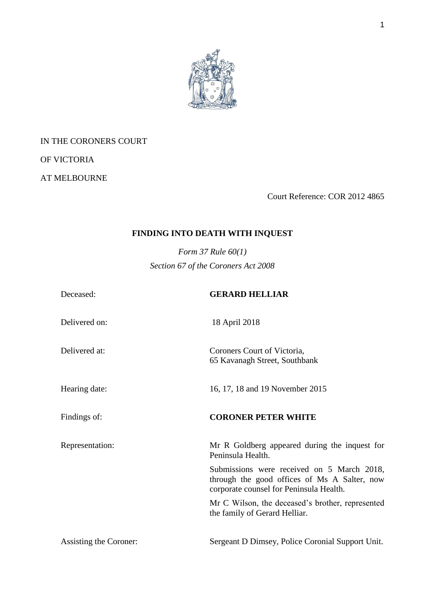

## IN THE CORONERS COURT

OF VICTORIA

AT MELBOURNE

Court Reference: COR 2012 4865

# **FINDING INTO DEATH WITH INQUEST**

*Form 37 Rule 60(1) Section 67 of the Coroners Act 2008*

| Deceased:              | <b>GERARD HELLIAR</b>                                                                                                                 |
|------------------------|---------------------------------------------------------------------------------------------------------------------------------------|
| Delivered on:          | 18 April 2018                                                                                                                         |
| Delivered at:          | Coroners Court of Victoria,<br>65 Kavanagh Street, Southbank                                                                          |
| Hearing date:          | 16, 17, 18 and 19 November 2015                                                                                                       |
| Findings of:           | <b>CORONER PETER WHITE</b>                                                                                                            |
| Representation:        | Mr R Goldberg appeared during the inquest for<br>Peninsula Health.                                                                    |
|                        | Submissions were received on 5 March 2018,<br>through the good offices of Ms A Salter, now<br>corporate counsel for Peninsula Health. |
|                        | Mr C Wilson, the deceased's brother, represented<br>the family of Gerard Helliar.                                                     |
| Assisting the Coroner: | Sergeant D Dimsey, Police Coronial Support Unit.                                                                                      |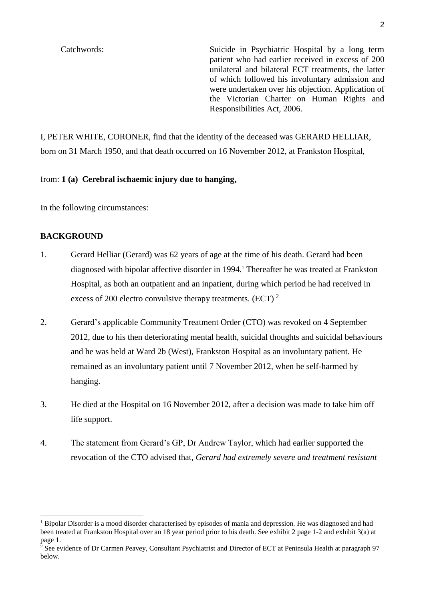Catchwords: Suicide in Psychiatric Hospital by a long term patient who had earlier received in excess of 200 unilateral and bilateral ECT treatments, the latter of which followed his involuntary admission and were undertaken over his objection. Application of the Victorian Charter on Human Rights and Responsibilities Act, 2006.

I, PETER WHITE, CORONER, find that the identity of the deceased was GERARD HELLIAR, born on 31 March 1950, and that death occurred on 16 November 2012, at Frankston Hospital,

from: **1 (a) Cerebral ischaemic injury due to hanging,**

In the following circumstances:

#### **BACKGROUND**

- 1. Gerard Helliar (Gerard) was 62 years of age at the time of his death. Gerard had been diagnosed with bipolar affective disorder in 1994.<sup>1</sup> Thereafter he was treated at Frankston Hospital, as both an outpatient and an inpatient, during which period he had received in excess of 200 electro convulsive therapy treatments. (ECT)<sup>2</sup>
- 2. Gerard's applicable Community Treatment Order (CTO) was revoked on 4 September 2012, due to his then deteriorating mental health, suicidal thoughts and suicidal behaviours and he was held at Ward 2b (West), Frankston Hospital as an involuntary patient. He remained as an involuntary patient until 7 November 2012, when he self-harmed by hanging.
- 3. He died at the Hospital on 16 November 2012, after a decision was made to take him off life support.
- 4. The statement from Gerard's GP, Dr Andrew Taylor, which had earlier supported the revocation of the CTO advised that, *Gerard had extremely severe and treatment resistant*

 $1$  Bipolar Disorder is a mood disorder characterised by episodes of mania and depression. He was diagnosed and had been treated at Frankston Hospital over an 18 year period prior to his death. See exhibit 2 page 1-2 and exhibit 3(a) at page 1.

 $2^2$  See evidence of Dr Carmen Peavey, Consultant Psychiatrist and Director of ECT at Peninsula Health at paragraph 97 below.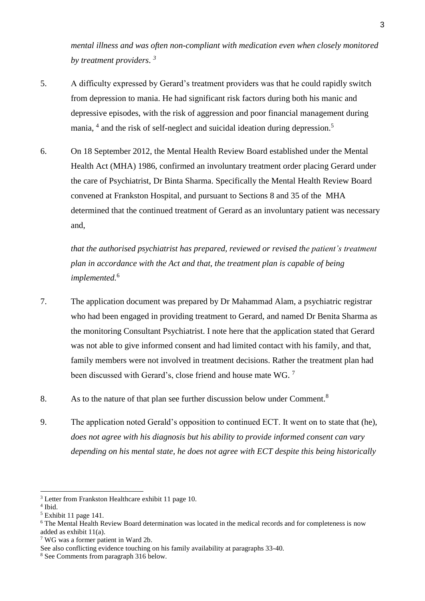*mental illness and was often non-compliant with medication even when closely monitored by treatment providers*. *3*

- 5. A difficulty expressed by Gerard's treatment providers was that he could rapidly switch from depression to mania. He had significant risk factors during both his manic and depressive episodes, with the risk of aggression and poor financial management during mania, <sup>4</sup> and the risk of self-neglect and suicidal ideation during depression.<sup>5</sup>
- 6. On 18 September 2012, the Mental Health Review Board established under the Mental Health Act (MHA) 1986, confirmed an involuntary treatment order placing Gerard under the care of Psychiatrist, Dr Binta Sharma. Specifically the Mental Health Review Board convened at Frankston Hospital, and pursuant to Sections 8 and 35 of the MHA determined that the continued treatment of Gerard as an involuntary patient was necessary and,

*that the authorised psychiatrist has prepared, reviewed or revised the patient's treatment plan in accordance with the Act and that, the treatment plan is capable of being implemented.*<sup>6</sup>

- 7. The application document was prepared by Dr Mahammad Alam, a psychiatric registrar who had been engaged in providing treatment to Gerard, and named Dr Benita Sharma as the monitoring Consultant Psychiatrist. I note here that the application stated that Gerard was not able to give informed consent and had limited contact with his family, and that, family members were not involved in treatment decisions. Rather the treatment plan had been discussed with Gerard's, close friend and house mate WG.<sup>7</sup>
- 8. As to the nature of that plan see further discussion below under Comment.<sup>8</sup>
- 9. The application noted Gerald's opposition to continued ECT. It went on to state that (he), *does not agree with his diagnosis but his ability to provide informed consent can vary depending on his mental state, he does not agree with ECT despite this being historically*

<sup>&</sup>lt;sup>3</sup> Letter from Frankston Healthcare exhibit 11 page 10.

<sup>4</sup> Ibid.

 $<sup>5</sup>$  Exhibit 11 page 141.</sup>

<sup>6</sup> The Mental Health Review Board determination was located in the medical records and for completeness is now added as exhibit 11(a).

<sup>7</sup> WG was a former patient in Ward 2b.

See also conflicting evidence touching on his family availability at paragraphs 33-40.

<sup>8</sup> See Comments from paragraph 316 below.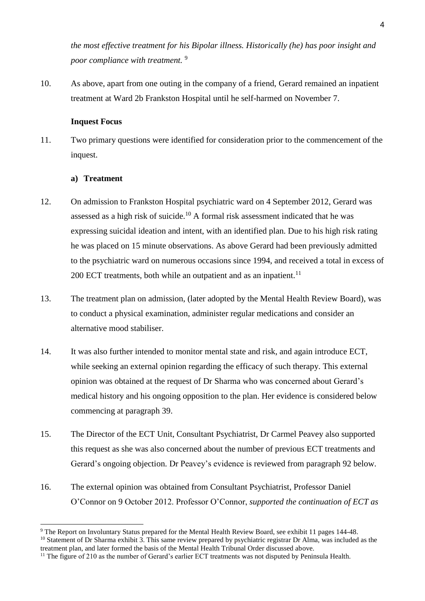*the most effective treatment for his Bipolar illness. Historically (he) has poor insight and poor compliance with treatment.* <sup>9</sup>

10. As above, apart from one outing in the company of a friend, Gerard remained an inpatient treatment at Ward 2b Frankston Hospital until he self-harmed on November 7.

## **Inquest Focus**

11. Two primary questions were identified for consideration prior to the commencement of the inquest.

## **a) Treatment**

- 12. On admission to Frankston Hospital psychiatric ward on 4 September 2012, Gerard was assessed as a high risk of suicide.<sup>10</sup> A formal risk assessment indicated that he was expressing suicidal ideation and intent, with an identified plan. Due to his high risk rating he was placed on 15 minute observations. As above Gerard had been previously admitted to the psychiatric ward on numerous occasions since 1994, and received a total in excess of  $200$  ECT treatments, both while an outpatient and as an inpatient.<sup>11</sup>
- 13. The treatment plan on admission, (later adopted by the Mental Health Review Board), was to conduct a physical examination, administer regular medications and consider an alternative mood stabiliser.
- 14. It was also further intended to monitor mental state and risk, and again introduce ECT, while seeking an external opinion regarding the efficacy of such therapy. This external opinion was obtained at the request of Dr Sharma who was concerned about Gerard's medical history and his ongoing opposition to the plan. Her evidence is considered below commencing at paragraph 39.
- 15. The Director of the ECT Unit, Consultant Psychiatrist, Dr Carmel Peavey also supported this request as she was also concerned about the number of previous ECT treatments and Gerard's ongoing objection. Dr Peavey's evidence is reviewed from paragraph 92 below.
- 16. The external opinion was obtained from Consultant Psychiatrist, Professor Daniel O'Connor on 9 October 2012. Professor O'Connor, *supported the continuation of ECT as*

<sup>-</sup><sup>9</sup> The Report on Involuntary Status prepared for the Mental Health Review Board, see exhibit 11 pages 144-48.

<sup>&</sup>lt;sup>10</sup> Statement of Dr Sharma exhibit 3. This same review prepared by psychiatric registrar Dr Alma, was included as the treatment plan, and later formed the basis of the Mental Health Tribunal Order discussed above.

<sup>&</sup>lt;sup>11</sup> The figure of 210 as the number of Gerard's earlier ECT treatments was not disputed by Peninsula Health.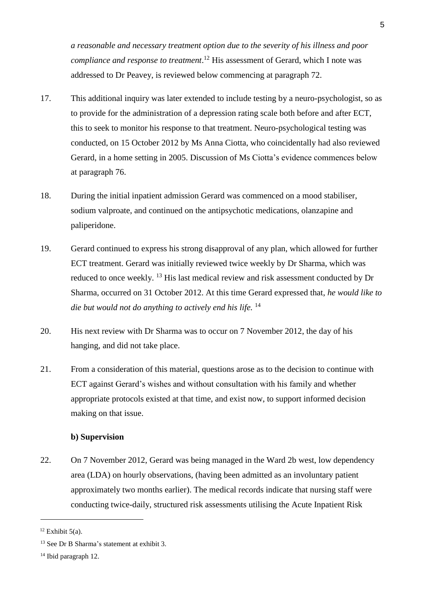*a reasonable and necessary treatment option due to the severity of his illness and poor compliance and response to treatment*. <sup>12</sup> His assessment of Gerard, which I note was addressed to Dr Peavey, is reviewed below commencing at paragraph 72.

- 17. This additional inquiry was later extended to include testing by a neuro-psychologist, so as to provide for the administration of a depression rating scale both before and after ECT, this to seek to monitor his response to that treatment. Neuro-psychological testing was conducted, on 15 October 2012 by Ms Anna Ciotta, who coincidentally had also reviewed Gerard, in a home setting in 2005. Discussion of Ms Ciotta's evidence commences below at paragraph 76.
- 18. During the initial inpatient admission Gerard was commenced on a mood stabiliser, sodium valproate, and continued on the antipsychotic medications, olanzapine and paliperidone.
- 19. Gerard continued to express his strong disapproval of any plan, which allowed for further ECT treatment. Gerard was initially reviewed twice weekly by Dr Sharma, which was reduced to once weekly. <sup>13</sup> His last medical review and risk assessment conducted by Dr Sharma, occurred on 31 October 2012. At this time Gerard expressed that, *he would like to die but would not do anything to actively end his life.* <sup>14</sup>
- 20. His next review with Dr Sharma was to occur on 7 November 2012, the day of his hanging, and did not take place.
- 21. From a consideration of this material, questions arose as to the decision to continue with ECT against Gerard's wishes and without consultation with his family and whether appropriate protocols existed at that time, and exist now, to support informed decision making on that issue.

## **b) Supervision**

22. On 7 November 2012, Gerard was being managed in the Ward 2b west, low dependency area (LDA) on hourly observations, (having been admitted as an involuntary patient approximately two months earlier). The medical records indicate that nursing staff were conducting twice-daily, structured risk assessments utilising the Acute Inpatient Risk

 $12$  Exhibit 5(a).

<sup>&</sup>lt;sup>13</sup> See Dr B Sharma's statement at exhibit 3.

<sup>14</sup> Ibid paragraph 12.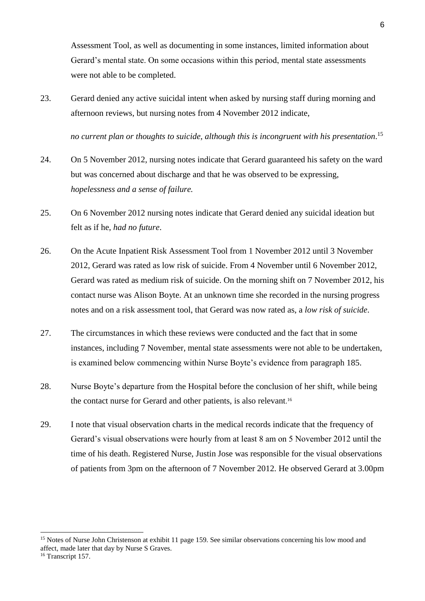Assessment Tool, as well as documenting in some instances, limited information about Gerard's mental state. On some occasions within this period, mental state assessments were not able to be completed.

23. Gerard denied any active suicidal intent when asked by nursing staff during morning and afternoon reviews, but nursing notes from 4 November 2012 indicate,

*no current plan or thoughts to suicide, although this is incongruent with his presentation*. 15

- 24. On 5 November 2012, nursing notes indicate that Gerard guaranteed his safety on the ward but was concerned about discharge and that he was observed to be expressing, *hopelessness and a sense of failure.*
- 25. On 6 November 2012 nursing notes indicate that Gerard denied any suicidal ideation but felt as if he, *had no future*.
- 26. On the Acute Inpatient Risk Assessment Tool from 1 November 2012 until 3 November 2012, Gerard was rated as low risk of suicide. From 4 November until 6 November 2012, Gerard was rated as medium risk of suicide. On the morning shift on 7 November 2012, his contact nurse was Alison Boyte. At an unknown time she recorded in the nursing progress notes and on a risk assessment tool, that Gerard was now rated as, a *low risk of suicide*.
- 27. The circumstances in which these reviews were conducted and the fact that in some instances, including 7 November, mental state assessments were not able to be undertaken, is examined below commencing within Nurse Boyte's evidence from paragraph 185.
- 28. Nurse Boyte's departure from the Hospital before the conclusion of her shift, while being the contact nurse for Gerard and other patients, is also relevant. 16
- 29. I note that visual observation charts in the medical records indicate that the frequency of Gerard's visual observations were hourly from at least 8 am on 5 November 2012 until the time of his death. Registered Nurse, Justin Jose was responsible for the visual observations of patients from 3pm on the afternoon of 7 November 2012. He observed Gerard at 3.00pm

<sup>&</sup>lt;sup>15</sup> Notes of Nurse John Christenson at exhibit 11 page 159. See similar observations concerning his low mood and affect, made later that day by Nurse S Graves.

<sup>&</sup>lt;sup>16</sup> Transcript 157.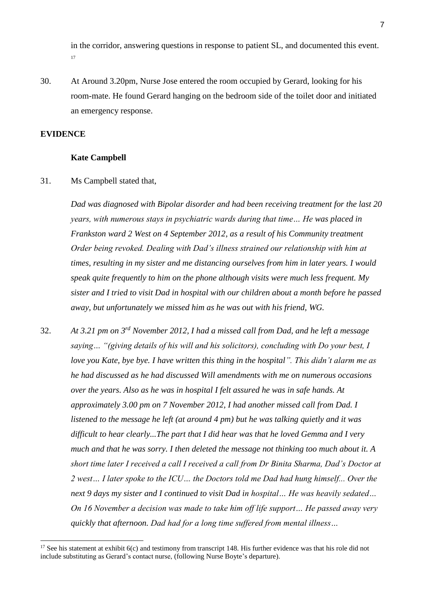in the corridor, answering questions in response to patient SL, and documented this event. 17

30. At Around 3.20pm, Nurse Jose entered the room occupied by Gerard, looking for his room-mate. He found Gerard hanging on the bedroom side of the toilet door and initiated an emergency response.

#### **EVIDENCE**

-

#### **Kate Campbell**

31. Ms Campbell stated that,

*Dad was diagnosed with Bipolar disorder and had been receiving treatment for the last 20 years, with numerous stays in psychiatric wards during that time… He was placed in Frankston ward 2 West on 4 September 2012, as a result of his Community treatment Order being revoked. Dealing with Dad's illness strained our relationship with him at times, resulting in my sister and me distancing ourselves from him in later years. I would speak quite frequently to him on the phone although visits were much less frequent. My sister and I tried to visit Dad in hospital with our children about a month before he passed away, but unfortunately we missed him as he was out with his friend, WG.*

32. *At 3.21 pm on 3rd November 2012, I had a missed call from Dad, and he left a message saying… "(giving details of his will and his solicitors), concluding with Do your best, I love you Kate, bye bye. I have written this thing in the hospital". This didn't alarm me as he had discussed as he had discussed Will amendments with me on numerous occasions over the years. Also as he was in hospital I felt assured he was in safe hands. At approximately 3.00 pm on 7 November 2012, I had another missed call from Dad. I listened to the message he left (at around 4 pm) but he was talking quietly and it was difficult to hear clearly...The part that I did hear was that he loved Gemma and I very much and that he was sorry. I then deleted the message not thinking too much about it. A short time later I received a call I received a call from Dr Binita Sharma, Dad's Doctor at 2 west… I later spoke to the ICU… the Doctors told me Dad had hung himself... Over the next 9 days my sister and I continued to visit Dad in hospital… He was heavily sedated… On 16 November a decision was made to take him off life support… He passed away very quickly that afternoon. Dad had for a long time suffered from mental illness…* 

<sup>&</sup>lt;sup>17</sup> See his statement at exhibit  $6(c)$  and testimony from transcript 148. His further evidence was that his role did not include substituting as Gerard's contact nurse, (following Nurse Boyte's departure).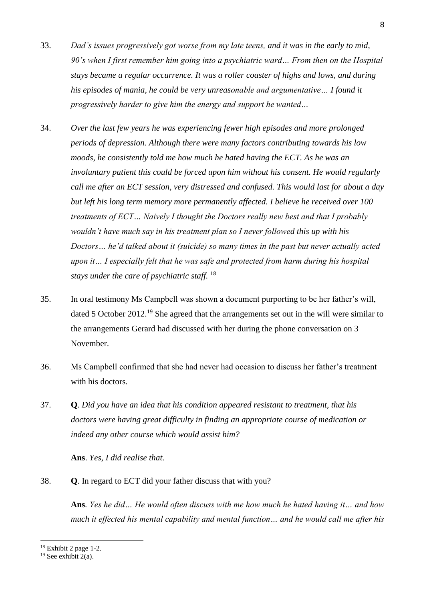- 33. *Dad's issues progressively got worse from my late teens, and it was in the early to mid, 90's when I first remember him going into a psychiatric ward… From then on the Hospital stays became a regular occurrence. It was a roller coaster of highs and lows, and during his episodes of mania, he could be very unreasonable and argumentative… I found it progressively harder to give him the energy and support he wanted…*
- 34. *Over the last few years he was experiencing fewer high episodes and more prolonged periods of depression. Although there were many factors contributing towards his low moods, he consistently told me how much he hated having the ECT. As he was an involuntary patient this could be forced upon him without his consent. He would regularly call me after an ECT session, very distressed and confused. This would last for about a day but left his long term memory more permanently affected. I believe he received over 100 treatments of ECT… Naively I thought the Doctors really new best and that I probably wouldn't have much say in his treatment plan so I never followed this up with his Doctors… he'd talked about it (suicide) so many times in the past but never actually acted upon it… I especially felt that he was safe and protected from harm during his hospital stays under the care of psychiatric staff.* <sup>18</sup>
- 35. In oral testimony Ms Campbell was shown a document purporting to be her father's will, dated 5 October 2012.<sup>19</sup> She agreed that the arrangements set out in the will were similar to the arrangements Gerard had discussed with her during the phone conversation on 3 November.
- 36. Ms Campbell confirmed that she had never had occasion to discuss her father's treatment with his doctors.
- 37. **Q**. *Did you have an idea that his condition appeared resistant to treatment, that his doctors were having great difficulty in finding an appropriate course of medication or indeed any other course which would assist him?*

**Ans**. *Yes, I did realise that.* 

38. **Q**. In regard to ECT did your father discuss that with you?

**Ans***. Yes he did… He would often discuss with me how much he hated having it… and how much it effected his mental capability and mental function… and he would call me after his* 

 $18$  Exhibit 2 page 1-2.

<sup>&</sup>lt;sup>19</sup> See exhibit  $2(a)$ .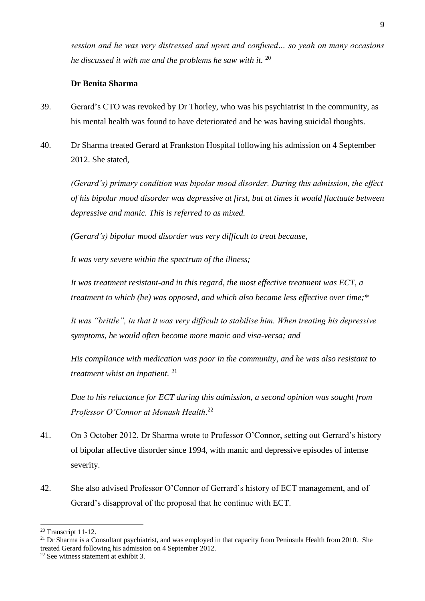*session and he was very distressed and upset and confused… so yeah on many occasions he discussed it with me and the problems he saw with it.* <sup>20</sup>

#### **Dr Benita Sharma**

- 39. Gerard's CTO was revoked by Dr Thorley, who was his psychiatrist in the community, as his mental health was found to have deteriorated and he was having suicidal thoughts.
- 40. Dr Sharma treated Gerard at Frankston Hospital following his admission on 4 September 2012. She stated,

*(Gerard's) primary condition was bipolar mood disorder. During this admission, the effect of his bipolar mood disorder was depressive at first, but at times it would fluctuate between depressive and manic. This is referred to as mixed.*

*(Gerard's) bipolar mood disorder was very difficult to treat because,*

*It was very severe within the spectrum of the illness;*

*It was treatment resistant-and in this regard, the most effective treatment was ECT, a treatment to which (he) was opposed, and which also became less effective over time;\**

*It was "brittle", in that it was very difficult to stabilise him. When treating his depressive symptoms, he would often become more manic and visa-versa; and* 

*His compliance with medication was poor in the community, and he was also resistant to treatment whist an inpatient.* <sup>21</sup>

*Due to his reluctance for ECT during this admission, a second opinion was sought from Professor O'Connor at Monash Health*. 22

- 41. On 3 October 2012, Dr Sharma wrote to Professor O'Connor, setting out Gerrard's history of bipolar affective disorder since 1994, with manic and depressive episodes of intense severity.
- 42. She also advised Professor O'Connor of Gerrard's history of ECT management, and of Gerard's disapproval of the proposal that he continue with ECT.

<sup>20</sup> Transcript 11-12.

<sup>&</sup>lt;sup>21</sup> Dr Sharma is a Consultant psychiatrist, and was employed in that capacity from Peninsula Health from 2010. She treated Gerard following his admission on 4 September 2012.

<sup>22</sup> See witness statement at exhibit 3.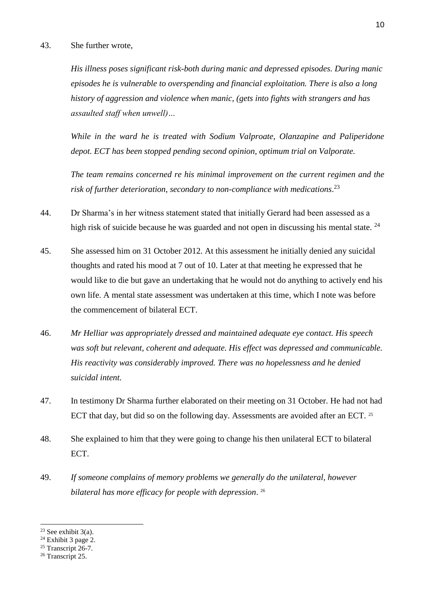#### 43. She further wrote,

*His illness poses significant risk-both during manic and depressed episodes. During manic episodes he is vulnerable to overspending and financial exploitation. There is also a long history of aggression and violence when manic, (gets into fights with strangers and has assaulted staff when unwell)…*

*While in the ward he is treated with Sodium Valproate, Olanzapine and Paliperidone depot. ECT has been stopped pending second opinion, optimum trial on Valporate.* 

*The team remains concerned re his minimal improvement on the current regimen and the risk of further deterioration, secondary to non-compliance with medications*. 23

- 44. Dr Sharma's in her witness statement stated that initially Gerard had been assessed as a high risk of suicide because he was guarded and not open in discussing his mental state.  $^{24}$
- 45. She assessed him on 31 October 2012. At this assessment he initially denied any suicidal thoughts and rated his mood at 7 out of 10. Later at that meeting he expressed that he would like to die but gave an undertaking that he would not do anything to actively end his own life. A mental state assessment was undertaken at this time, which I note was before the commencement of bilateral ECT.
- 46. *Mr Helliar was appropriately dressed and maintained adequate eye contact. His speech was soft but relevant, coherent and adequate. His effect was depressed and communicable. His reactivity was considerably improved. There was no hopelessness and he denied suicidal intent.*
- 47. In testimony Dr Sharma further elaborated on their meeting on 31 October. He had not had ECT that day, but did so on the following day. Assessments are avoided after an ECT. <sup>25</sup>
- 48. She explained to him that they were going to change his then unilateral ECT to bilateral ECT.
- 49. *If someone complains of memory problems we generally do the unilateral, however bilateral has more efficacy for people with depression*. 26

<sup>&</sup>lt;sup>23</sup> See exhibit  $3(a)$ .

 $24$  Exhibit 3 page 2.

 $25$  Transcript  $26-7$ .

<sup>&</sup>lt;sup>26</sup> Transcript 25.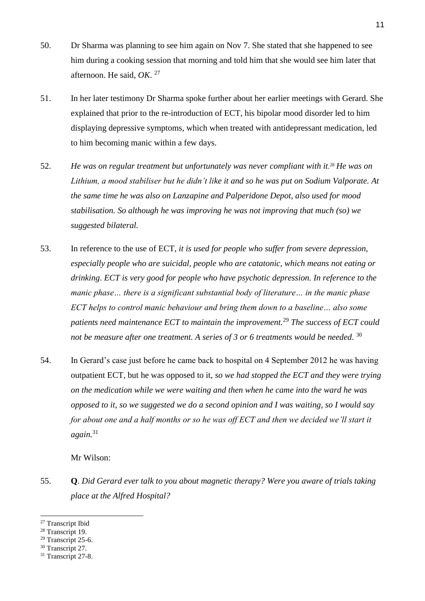- 50. Dr Sharma was planning to see him again on Nov 7. She stated that she happened to see him during a cooking session that morning and told him that she would see him later that afternoon. He said, *OK*. 27
- 51. In her later testimony Dr Sharma spoke further about her earlier meetings with Gerard. She explained that prior to the re-introduction of ECT, his bipolar mood disorder led to him displaying depressive symptoms, which when treated with antidepressant medication, led to him becoming manic within a few days.
- 52. He was on regular treatment but unfortunately was never compliant with it<sup>28</sup> He was on *Lithium, a mood stabiliser but he didn't like it and so he was put on Sodium Valporate. At the same time he was also on Lanzapine and Palperidone Depot, also used for mood stabilisation. So although he was improving he was not improving that much (so) we suggested bilateral.*
- 53. In reference to the use of ECT, *it is used for people who suffer from severe depression, especially people who are suicidal, people who are catatonic, which means not eating or drinking*. *ECT is very good for people who have psychotic depression. In reference to the manic phase… there is a significant substantial body of literature… in the manic phase ECT helps to control manic behaviour and bring them down to a baseline… also some patients need maintenance ECT to maintain the improvement.*<sup>29</sup> *The success of ECT could not be measure after one treatment. A series of 3 or 6 treatments would be needed*. 30
- 54. In Gerard's case just before he came back to hospital on 4 September 2012 he was having outpatient ECT, but he was opposed to it, *so we had stopped the ECT and they were trying on the medication while we were waiting and then when he came into the ward he was opposed to it, so we suggested we do a second opinion and I was waiting, so I would say for about one and a half months or so he was off ECT and then we decided we'll start it again.* 31

Mr Wilson:

55. **Q**. *Did Gerard ever talk to you about magnetic therapy? Were you aware of trials taking place at the Alfred Hospital?* 

<sup>27</sup> Transcript Ibid

<sup>&</sup>lt;sup>28</sup> Transcript 19.

<sup>29</sup> Transcript 25-6.

<sup>&</sup>lt;sup>30</sup> Transcript 27.

<sup>&</sup>lt;sup>31</sup> Transcript 27-8.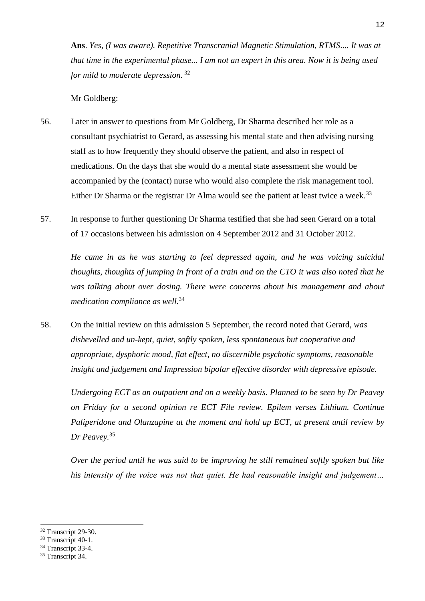**Ans**. *Yes, (I was aware). Repetitive Transcranial Magnetic Stimulation, RTMS.... It was at that time in the experimental phase... I am not an expert in this area. Now it is being used for mild to moderate depression.* 32

Mr Goldberg:

- 56. Later in answer to questions from Mr Goldberg, Dr Sharma described her role as a consultant psychiatrist to Gerard, as assessing his mental state and then advising nursing staff as to how frequently they should observe the patient, and also in respect of medications. On the days that she would do a mental state assessment she would be accompanied by the (contact) nurse who would also complete the risk management tool. Either Dr Sharma or the registrar Dr Alma would see the patient at least twice a week.<sup>33</sup>
- 57. In response to further questioning Dr Sharma testified that she had seen Gerard on a total of 17 occasions between his admission on 4 September 2012 and 31 October 2012.

*He came in as he was starting to feel depressed again, and he was voicing suicidal thoughts, thoughts of jumping in front of a train and on the CTO it was also noted that he was talking about over dosing. There were concerns about his management and about medication compliance as well.*<sup>34</sup> 

58. On the initial review on this admission 5 September, the record noted that Gerard, *was dishevelled and un-kept, quiet, softly spoken, less spontaneous but cooperative and appropriate, dysphoric mood, flat effect, no discernible psychotic symptoms, reasonable insight and judgement and Impression bipolar effective disorder with depressive episode.*

*Undergoing ECT as an outpatient and on a weekly basis. Planned to be seen by Dr Peavey on Friday for a second opinion re ECT File review. Epilem verses Lithium. Continue Paliperidone and Olanzapine at the moment and hold up ECT, at present until review by Dr Peavey.*<sup>35</sup>

*Over the period until he was said to be improving he still remained softly spoken but like his intensity of the voice was not that quiet. He had reasonable insight and judgement…* 

<sup>32</sup> Transcript 29-30.

<sup>&</sup>lt;sup>33</sup> Transcript 40-1.

<sup>&</sup>lt;sup>34</sup> Transcript 33-4.

<sup>&</sup>lt;sup>35</sup> Transcript 34.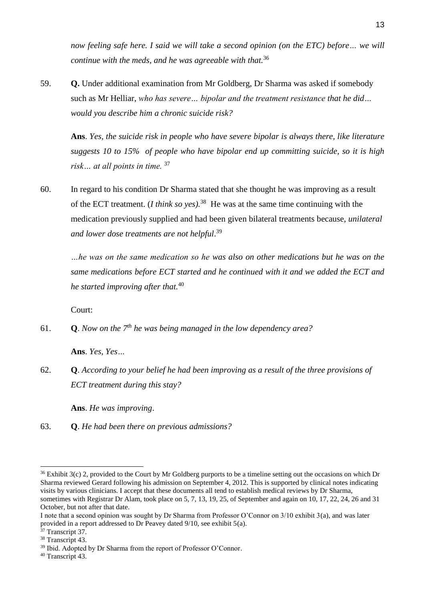*now feeling safe here. I said we will take a second opinion (on the ETC) before… we will continue with the meds, and he was agreeable with that.*<sup>36</sup>

59. **Q.** Under additional examination from Mr Goldberg, Dr Sharma was asked if somebody such as Mr Helliar, *who has severe… bipolar and the treatment resistance that he did… would you describe him a chronic suicide risk?*

**Ans**. *Yes, the suicide risk in people who have severe bipolar is always there, like literature suggests 10 to 15% of people who have bipolar end up committing suicide, so it is high*  risk... at all points in time. <sup>37</sup>

60. In regard to his condition Dr Sharma stated that she thought he was improving as a result of the ECT treatment. (*I think so yes*).<sup>38</sup> He was at the same time continuing with the medication previously supplied and had been given bilateral treatments because, *unilateral and lower dose treatments are not helpful*. 39

*…he was on the same medication so he was also on other medications but he was on the same medications before ECT started and he continued with it and we added the ECT and he started improving after that.*<sup>40</sup>

Court:

61. **Q**. *Now on the 7th he was being managed in the low dependency area?* 

**Ans**. *Yes, Yes…*

62. **Q**. *According to your belief he had been improving as a result of the three provisions of ECT treatment during this stay?*

**Ans**. *He was improving*.

63. **Q**. *He had been there on previous admissions?*

<sup>-</sup> $36$  Exhibit 3(c) 2, provided to the Court by Mr Goldberg purports to be a timeline setting out the occasions on which Dr Sharma reviewed Gerard following his admission on September 4, 2012. This is supported by clinical notes indicating visits by various clinicians. I accept that these documents all tend to establish medical reviews by Dr Sharma, sometimes with Registrar Dr Alam, took place on 5, 7, 13, 19, 25, of September and again on 10, 17, 22, 24, 26 and 31 October, but not after that date.

I note that a second opinion was sought by Dr Sharma from Professor O'Connor on 3/10 exhibit 3(a), and was later provided in a report addressed to Dr Peavey dated 9/10, see exhibit 5(a).

<sup>&</sup>lt;sup>37</sup> Transcript 37.

<sup>38</sup> Transcript 43.

<sup>&</sup>lt;sup>39</sup> Ibid. Adopted by Dr Sharma from the report of Professor O'Connor.

<sup>40</sup> Transcript 43.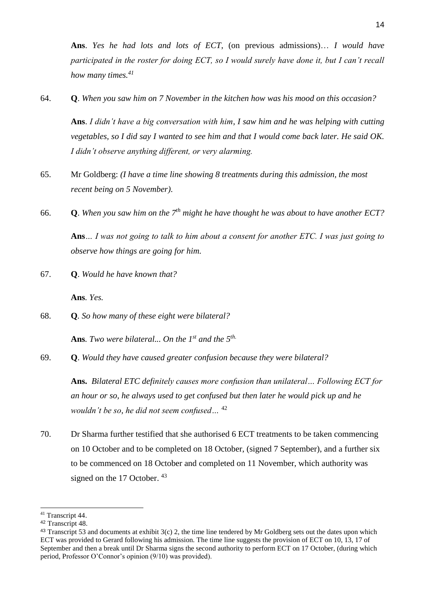**Ans**. *Yes he had lots and lots of ECT*, (on previous admissions)… *I would have participated in the roster for doing ECT, so I would surely have done it, but I can't recall how many times.<sup>41</sup>*

64. **Q**. *When you saw him on 7 November in the kitchen how was his mood on this occasion?*

**Ans**. *I didn't have a big conversation with him, I saw him and he was helping with cutting vegetables, so I did say I wanted to see him and that I would come back later. He said OK. I didn't observe anything different, or very alarming.*

- 65. Mr Goldberg: *(I have a time line showing 8 treatments during this admission, the most recent being on 5 November)*.
- 66. **Q**. *When you saw him on the 7th might he have thought he was about to have another ECT?* **Ans***… I was not going to talk to him about a consent for another ETC. I was just going to observe how things are going for him.*
- 67. **Q**. *Would he have known that?*

**Ans***. Yes.*

68. **Q***. So how many of these eight were bilateral?*

**Ans***. Two were bilateral... On the 1st and the 5th.*

69. **Q**. *Would they have caused greater confusion because they were bilateral?*

**Ans.** *Bilateral ETC definitely causes more confusion than unilateral… Following ECT for an hour or so, he always used to get confused but then later he would pick up and he wouldn't be so, he did not seem confused…* <sup>42</sup>

70. Dr Sharma further testified that she authorised 6 ECT treatments to be taken commencing on 10 October and to be completed on 18 October, (signed 7 September), and a further six to be commenced on 18 October and completed on 11 November, which authority was signed on the 17 October. <sup>43</sup>

<sup>-</sup><sup>41</sup> Transcript 44.

<sup>42</sup> Transcript 48.

 $43$  Transcript 53 and documents at exhibit  $3(c)$  2, the time line tendered by Mr Goldberg sets out the dates upon which ECT was provided to Gerard following his admission. The time line suggests the provision of ECT on 10, 13, 17 of September and then a break until Dr Sharma signs the second authority to perform ECT on 17 October, (during which period, Professor O'Connor's opinion (9/10) was provided).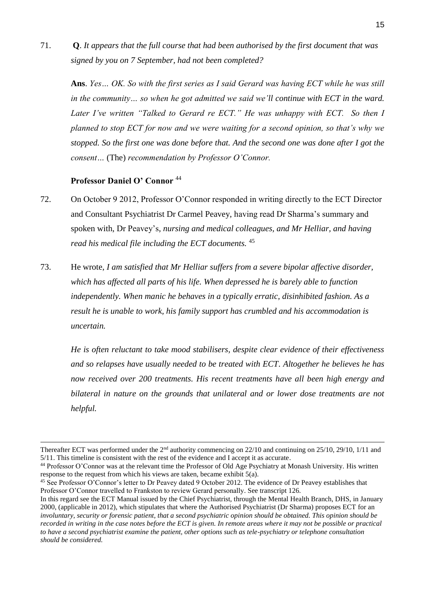71. **Q**. *It appears that the full course that had been authorised by the first document that was signed by you on 7 September, had not been completed?*

**Ans**. *Yes… OK. So with the first series as I said Gerard was having ECT while he was still in the community… so when he got admitted we said we'll continue with ECT in the ward. Later I've written "Talked to Gerard re ECT." He was unhappy with ECT. So then I planned to stop ECT for now and we were waiting for a second opinion, so that's why we stopped. So the first one was done before that. And the second one was done after I got the consent…* (The) *recommendation by Professor O'Connor.*

## **Professor Daniel O' Connor** <sup>44</sup>

-

- 72. On October 9 2012, Professor O'Connor responded in writing directly to the ECT Director and Consultant Psychiatrist Dr Carmel Peavey, having read Dr Sharma's summary and spoken with, Dr Peavey's, *nursing and medical colleagues, and Mr Helliar, and having read his medical file including the ECT documents.* <sup>45</sup>
- 73. He wrote, *I am satisfied that Mr Helliar suffers from a severe bipolar affective disorder, which has affected all parts of his life. When depressed he is barely able to function independently. When manic he behaves in a typically erratic, disinhibited fashion. As a result he is unable to work, his family support has crumbled and his accommodation is uncertain.*

*He is often reluctant to take mood stabilisers, despite clear evidence of their effectiveness and so relapses have usually needed to be treated with ECT. Altogether he believes he has now received over 200 treatments. His recent treatments have all been high energy and bilateral in nature on the grounds that unilateral and or lower dose treatments are not helpful.* 

Thereafter ECT was performed under the  $2<sup>nd</sup>$  authority commencing on 22/10 and continuing on 25/10, 29/10, 1/11 and 5/11. This timeline is consistent with the rest of the evidence and I accept it as accurate.

<sup>&</sup>lt;sup>44</sup> Professor O'Connor was at the relevant time the Professor of Old Age Psychiatry at Monash University. His written response to the request from which his views are taken, became exhibit 5(a).

<sup>45</sup> See Professor O'Connor's letter to Dr Peavey dated 9 October 2012. The evidence of Dr Peavey establishes that Professor O'Connor travelled to Frankston to review Gerard personally. See transcript 126.

In this regard see the ECT Manual issued by the Chief Psychiatrist, through the Mental Health Branch, DHS, in January 2000, (applicable in 2012), which stipulates that where the Authorised Psychiatrist (Dr Sharma) proposes ECT for an *involuntary, security or forensic patient, that a second psychiatric opinion should be obtained. This opinion should be recorded in writing in the case notes before the ECT is given. In remote areas where it may not be possible or practical to have a second psychiatrist examine the patient, other options such as tele-psychiatry or telephone consultation should be considered.*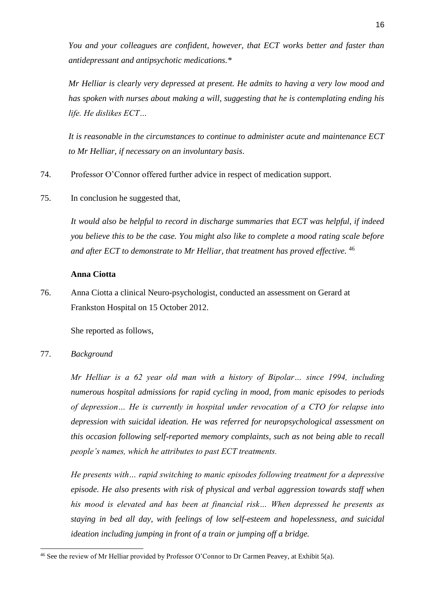*You and your colleagues are confident, however, that ECT works better and faster than antidepressant and antipsychotic medications.\**

*Mr Helliar is clearly very depressed at present. He admits to having a very low mood and has spoken with nurses about making a will, suggesting that he is contemplating ending his life. He dislikes ECT…*

*It is reasonable in the circumstances to continue to administer acute and maintenance ECT to Mr Helliar, if necessary on an involuntary basis*.

74. Professor O'Connor offered further advice in respect of medication support.

75. In conclusion he suggested that,

*It would also be helpful to record in discharge summaries that ECT was helpful, if indeed you believe this to be the case. You might also like to complete a mood rating scale before and after ECT to demonstrate to Mr Helliar, that treatment has proved effective.* <sup>46</sup>

## **Anna Ciotta**

76. Anna Ciotta a clinical Neuro-psychologist, conducted an assessment on Gerard at Frankston Hospital on 15 October 2012.

She reported as follows,

77. *Background*

-

*Mr Helliar is a 62 year old man with a history of Bipolar… since 1994, including numerous hospital admissions for rapid cycling in mood, from manic episodes to periods of depression… He is currently in hospital under revocation of a CTO for relapse into depression with suicidal ideation. He was referred for neuropsychological assessment on this occasion following self-reported memory complaints, such as not being able to recall people's names, which he attributes to past ECT treatments.* 

*He presents with… rapid switching to manic episodes following treatment for a depressive episode. He also presents with risk of physical and verbal aggression towards staff when his mood is elevated and has been at financial risk… When depressed he presents as staying in bed all day, with feelings of low self-esteem and hopelessness, and suicidal ideation including jumping in front of a train or jumping off a bridge.*

<sup>46</sup> See the review of Mr Helliar provided by Professor O'Connor to Dr Carmen Peavey, at Exhibit 5(a).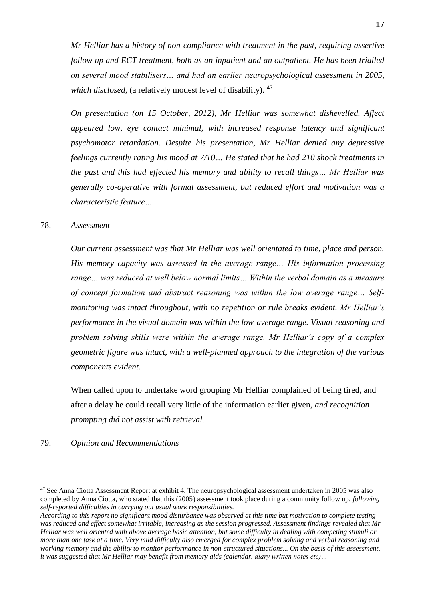*Mr Helliar has a history of non-compliance with treatment in the past, requiring assertive follow up and ECT treatment, both as an inpatient and an outpatient. He has been trialled on several mood stabilisers… and had an earlier neuropsychological assessment in 2005, which disclosed,* (a relatively modest level of disability). <sup>47</sup>

*On presentation (on 15 October, 2012), Mr Helliar was somewhat dishevelled. Affect appeared low, eye contact minimal, with increased response latency and significant psychomotor retardation. Despite his presentation, Mr Helliar denied any depressive feelings currently rating his mood at 7/10… He stated that he had 210 shock treatments in the past and this had effected his memory and ability to recall things… Mr Helliar was generally co-operative with formal assessment, but reduced effort and motivation was a characteristic feature…*

#### 78. *Assessment*

*Our current assessment was that Mr Helliar was well orientated to time, place and person. His memory capacity was assessed in the average range… His information processing range… was reduced at well below normal limits… Within the verbal domain as a measure of concept formation and abstract reasoning was within the low average range… Selfmonitoring was intact throughout, with no repetition or rule breaks evident. Mr Helliar's performance in the visual domain was within the low-average range. Visual reasoning and problem solving skills were within the average range. Mr Helliar's copy of a complex geometric figure was intact, with a well-planned approach to the integration of the various components evident.* 

When called upon to undertake word grouping Mr Helliar complained of being tired, and after a delay he could recall very little of the information earlier given, *and recognition prompting did not assist with retrieval.*

#### 79. *Opinion and Recommendations*

<sup>&</sup>lt;sup>47</sup> See Anna Ciotta Assessment Report at exhibit 4. The neuropsychological assessment undertaken in 2005 was also completed by Anna Ciotta, who stated that this (2005) assessment took place during a community follow up, *following self-reported difficulties in carrying out usual work responsibilities.* 

*According to this report no significant mood disturbance was observed at this time but motivation to complete testing was reduced and effect somewhat irritable, increasing as the session progressed. Assessment findings revealed that Mr Helliar was well oriented with above average basic attention, but some difficulty in dealing with competing stimuli or more than one task at a time. Very mild difficulty also emerged for complex problem solving and verbal reasoning and working memory and the ability to monitor performance in non-structured situations... On the basis of this assessment, it was suggested that Mr Helliar may benefit from memory aids (calendar, diary written notes etc)…*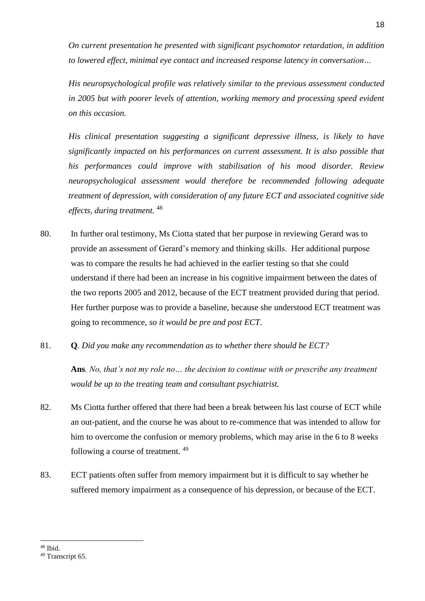*On current presentation he presented with significant psychomotor retardation, in addition to lowered effect, minimal eye contact and increased response latency in conversation…*

*His neuropsychological profile was relatively similar to the previous assessment conducted in 2005 but with poorer levels of attention, working memory and processing speed evident on this occasion.* 

*His clinical presentation suggesting a significant depressive illness, is likely to have significantly impacted on his performances on current assessment. It is also possible that his performances could improve with stabilisation of his mood disorder. Review neuropsychological assessment would therefore be recommended following adequate treatment of depression, with consideration of any future ECT and associated cognitive side effects, during treatment.* <sup>48</sup>

- 80. In further oral testimony, Ms Ciotta stated that her purpose in reviewing Gerard was to provide an assessment of Gerard's memory and thinking skills. Her additional purpose was to compare the results he had achieved in the earlier testing so that she could understand if there had been an increase in his cognitive impairment between the dates of the two reports 2005 and 2012, because of the ECT treatment provided during that period. Her further purpose was to provide a baseline, because she understood ECT treatment was going to recommence, *so it would be pre and post ECT*.
- 81. **Q***. Did you make any recommendation as to whether there should be ECT?*

**Ans***. No, that's not my role no… the decision to continue with or prescribe any treatment would be up to the treating team and consultant psychiatrist.*

- 82. Ms Ciotta further offered that there had been a break between his last course of ECT while an out-patient, and the course he was about to re-commence that was intended to allow for him to overcome the confusion or memory problems, which may arise in the 6 to 8 weeks following a course of treatment.<sup>49</sup>
- 83. ECT patients often suffer from memory impairment but it is difficult to say whether he suffered memory impairment as a consequence of his depression, or because of the ECT.

<sup>48</sup> Ibid.

<sup>49</sup> Transcript 65.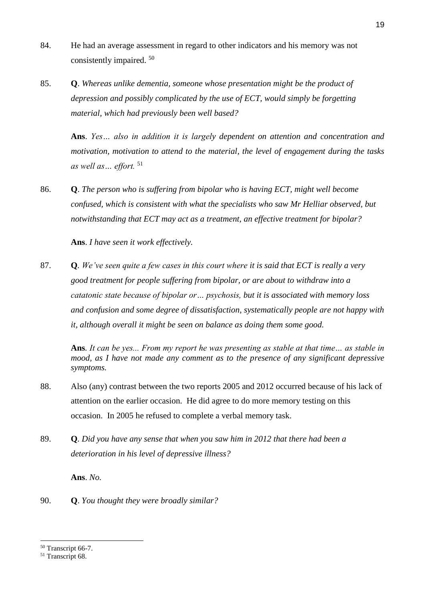- 84. He had an average assessment in regard to other indicators and his memory was not consistently impaired. <sup>50</sup>
- 85. **Q**. *Whereas unlike dementia, someone whose presentation might be the product of depression and possibly complicated by the use of ECT, would simply be forgetting material, which had previously been well based?*

**Ans**. *Yes… also in addition it is largely dependent on attention and concentration and motivation, motivation to attend to the material, the level of engagement during the tasks as well as… effort.* <sup>51</sup>

86. **Q**. *The person who is suffering from bipolar who is having ECT, might well become confused, which is consistent with what the specialists who saw Mr Helliar observed, but notwithstanding that ECT may act as a treatment, an effective treatment for bipolar?* 

**Ans**. *I have seen it work effectively.* 

87. **Q***. We've seen quite a few cases in this court where it is said that ECT is really a very good treatment for people suffering from bipolar, or are about to withdraw into a catatonic state because of bipolar or… psychosis, but it is associated with memory loss and confusion and some degree of dissatisfaction, systematically people are not happy with it, although overall it might be seen on balance as doing them some good.*

**Ans***. It can be yes... From my report he was presenting as stable at that time… as stable in mood, as I have not made any comment as to the presence of any significant depressive symptoms.* 

- 88. Also (any) contrast between the two reports 2005 and 2012 occurred because of his lack of attention on the earlier occasion. He did agree to do more memory testing on this occasion. In 2005 he refused to complete a verbal memory task.
- 89. **Q***. Did you have any sense that when you saw him in 2012 that there had been a deterioration in his level of depressive illness?*

**Ans**. *No.*

90. **Q**. *You thought they were broadly similar?* 

<sup>50</sup> Transcript 66-7.

<sup>&</sup>lt;sup>51</sup> Transcript 68.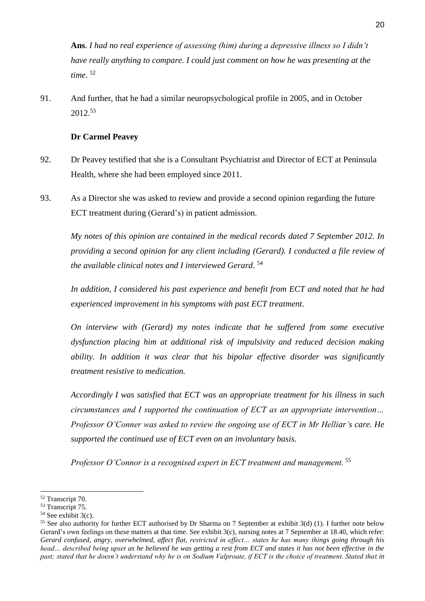**Ans***. I had no real experience of assessing (him) during a depressive illness so I didn't have really anything to compare. I could just comment on how he was presenting at the time*. 52

91. And further, that he had a similar neuropsychological profile in 2005, and in October 2012.<sup>53</sup>

## **Dr Carmel Peavey**

- 92. Dr Peavey testified that she is a Consultant Psychiatrist and Director of ECT at Peninsula Health, where she had been employed since 2011.
- 93. As a Director she was asked to review and provide a second opinion regarding the future ECT treatment during (Gerard's) in patient admission.

*My notes of this opinion are contained in the medical records dated 7 September 2012. In providing a second opinion for any client including (Gerard). I conducted a file review of the available clinical notes and I interviewed Gerard*. 54

*In addition, I considered his past experience and benefit from ECT and noted that he had experienced improvement in his symptoms with past ECT treatment*.

*On interview with (Gerard) my notes indicate that he suffered from some executive dysfunction placing him at additional risk of impulsivity and reduced decision making ability. In addition it was clear that his bipolar effective disorder was significantly treatment resistive to medication.* 

*Accordingly I was satisfied that ECT was an appropriate treatment for his illness in such circumstances and I supported the continuation of ECT as an appropriate intervention… Professor O'Conner was asked to review the ongoing use of ECT in Mr Helliar's care. He supported the continued use of ECT even on an involuntary basis.* 

*Professor O'Connor is a recognised expert in ECT treatment and management.* <sup>55</sup>

<sup>-</sup><sup>52</sup> Transcript 70.

<sup>&</sup>lt;sup>53</sup> Transcript 75.

 $54$  See exhibit  $3(c)$ .

<sup>55</sup> See also authority for further ECT authorised by Dr Sharma on 7 September at exhibit 3(d) (1). I further note below Gerard's own feelings on these matters at that time. See exhibit  $3(c)$ , nursing notes at 7 September at 18.40, which refer: *Gerard confused, angry, overwhelmed, affect flat, restricted in effect… states he has many things going through his head… described being upset as he believed he was getting a rest from ECT and states it has not been effective in the past; stated that he doesn't understand why he is on Sodium Valproate, if ECT is the choice of treatment. Stated that in*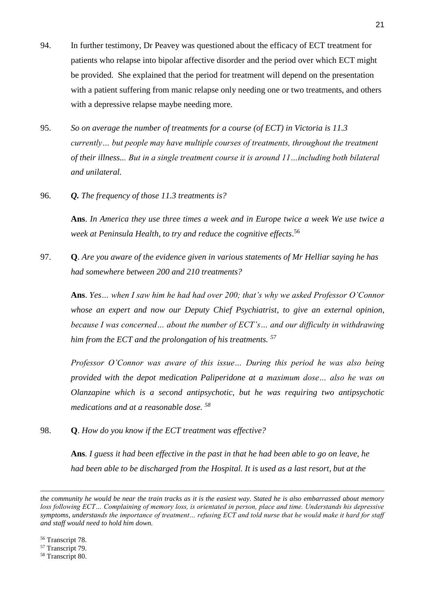- 94. In further testimony, Dr Peavey was questioned about the efficacy of ECT treatment for patients who relapse into bipolar affective disorder and the period over which ECT might be provided. She explained that the period for treatment will depend on the presentation with a patient suffering from manic relapse only needing one or two treatments, and others with a depressive relapse maybe needing more.
- 95. *So on average the number of treatments for a course (of ECT) in Victoria is 11.3 currently… but people may have multiple courses of treatments, throughout the treatment of their illness... But in a single treatment course it is around 11…including both bilateral and unilateral.*
- 96. *Q. The frequency of those 11.3 treatments is?*

**Ans**. *In America they use three times a week and in Europe twice a week We use twice a week at Peninsula Health, to try and reduce the cognitive effects*. 56

97. **Q**. *Are you aware of the evidence given in various statements of Mr Helliar saying he has had somewhere between 200 and 210 treatments?* 

**Ans**. *Yes… when I saw him he had had over 200; that's why we asked Professor O'Connor whose an expert and now our Deputy Chief Psychiatrist, to give an external opinion, because I was concerned… about the number of ECT's… and our difficulty in withdrawing him from the ECT and the prolongation of his treatments. <sup>57</sup>*

*Professor O'Connor was aware of this issue… During this period he was also being provided with the depot medication Paliperidone at a maximum dose… also he was on Olanzapine which is a second antipsychotic, but he was requiring two antipsychotic medications and at a reasonable dose. <sup>58</sup>* 

98. **Q**. *How do you know if the ECT treatment was effective?*

**Ans***. I guess it had been effective in the past in that he had been able to go on leave, he had been able to be discharged from the Hospital. It is used as a last resort, but at the* 

<sup>56</sup> Transcript 78.

- <sup>57</sup> Transcript 79.
- <sup>58</sup> Transcript 80.

*the community he would be near the train tracks as it is the easiest way. Stated he is also embarrassed about memory loss following ECT… Complaining of memory loss, is orientated in person, place and time. Understands his depressive symptoms, understands the importance of treatment… refusing ECT and told nurse that he would make it hard for staff and staff would need to hold him down.*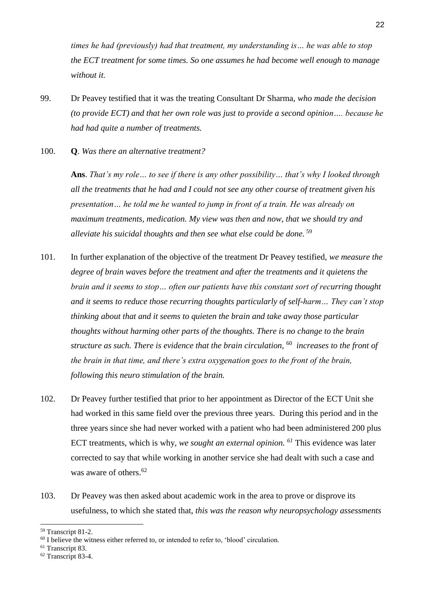*times he had (previously) had that treatment, my understanding is… he was able to stop the ECT treatment for some times. So one assumes he had become well enough to manage without it.* 

- 99. Dr Peavey testified that it was the treating Consultant Dr Sharma, *who made the decision (to provide ECT) and that her own role was just to provide a second opinion…. because he had had quite a number of treatments.*
- 100. **Q***. Was there an alternative treatment?*

**Ans**. *That's my role… to see if there is any other possibility… that's why I looked through all the treatments that he had and I could not see any other course of treatment given his presentation… he told me he wanted to jump in front of a train. He was already on maximum treatments, medication. My view was then and now, that we should try and alleviate his suicidal thoughts and then see what else could be done.* <sup>59</sup>

- 101. In further explanation of the objective of the treatment Dr Peavey testified, *we measure the degree of brain waves before the treatment and after the treatments and it quietens the brain and it seems to stop… often our patients have this constant sort of recurring thought and it seems to reduce those recurring thoughts particularly of self-harm… They can't stop thinking about that and it seems to quieten the brain and take away those particular thoughts without harming other parts of the thoughts. There is no change to the brain structure as such. There is evidence that the brain circulation,* <sup>60</sup> *increases to the front of the brain in that time, and there's extra oxygenation goes to the front of the brain, following this neuro stimulation of the brain.*
- 102. Dr Peavey further testified that prior to her appointment as Director of the ECT Unit she had worked in this same field over the previous three years. During this period and in the three years since she had never worked with a patient who had been administered 200 plus ECT treatments, which is why, *we sought an external opinion. <sup>61</sup>* This evidence was later corrected to say that while working in another service she had dealt with such a case and was aware of others.<sup>62</sup>
- 103. Dr Peavey was then asked about academic work in the area to prove or disprove its usefulness, to which she stated that, *this was the reason why neuropsychology assessments*

<sup>59</sup> Transcript 81-2.

<sup>&</sup>lt;sup>60</sup> I believe the witness either referred to, or intended to refer to, 'blood' circulation.

<sup>&</sup>lt;sup>61</sup> Transcript 83.

<sup>62</sup> Transcript 83-4.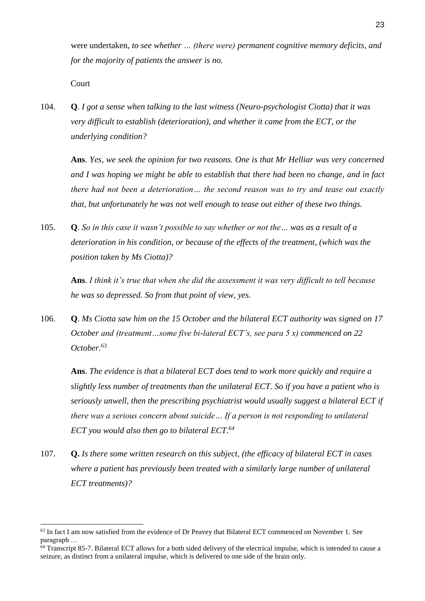were undertaken*, to see whether … (there were) permanent cognitive memory deficits, and for the majority of patients the answer is no.*

**Court** 

-

104. **Q**. *I got a sense when talking to the last witness (Neuro-psychologist Ciotta) that it was very difficult to establish (deterioration), and whether it came from the ECT, or the underlying condition?*

**Ans**. *Yes, we seek the opinion for two reasons. One is that Mr Helliar was very concerned and I was hoping we might be able to establish that there had been no change, and in fact there had not been a deterioration… the second reason was to try and tease out exactly that, but unfortunately he was not well enough to tease out either of these two things.*

105. **Q**. *So in this case it wasn't possible to say whether or not the… was as a result of a deterioration in his condition, or because of the effects of the treatment, (which was the position taken by Ms Ciotta)?* 

**Ans**. *I think it's true that when she did the assessment it was very difficult to tell because he was so depressed. So from that point of view, yes.* 

106. **Q**. *Ms Ciotta saw him on the 15 October and the bilateral ECT authority was signed on 17 October and (treatment…some five bi-lateral ECT's, see para 5 x) commenced on 22 October.* 63

**Ans**. *The evidence is that a bilateral ECT does tend to work more quickly and require a slightly less number of treatments than the unilateral ECT. So if you have a patient who is seriously unwell, then the prescribing psychiatrist would usually suggest a bilateral ECT if there was a serious concern about suicide… If a person is not responding to unilateral ECT you would also then go to bilateral ECT*. *64*

107. **Q.** *Is there some written research on this subject, (the efficacy of bilateral ECT in cases where a patient has previously been treated with a similarly large number of unilateral ECT treatments)?*

<sup>&</sup>lt;sup>63</sup> In fact I am now satisfied from the evidence of Dr Peavey that Bilateral ECT commenced on November 1. See paragraph …

 $64$  Transcript 85-7. Bilateral ECT allows for a both sided delivery of the electrical impulse, which is intended to cause a seizure, as distinct from a unilateral impulse, which is delivered to one side of the brain only.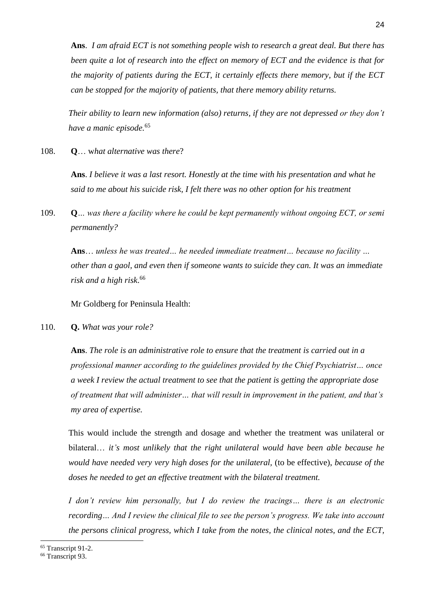**Ans**. *I am afraid ECT is not something people wish to research a great deal. But there has been quite a lot of research into the effect on memory of ECT and the evidence is that for the majority of patients during the ECT, it certainly effects there memory, but if the ECT can be stopped for the majority of patients, that there memory ability returns.* 

*Their ability to learn new information (also) returns, if they are not depressed or they don't have a manic episode.*<sup>65</sup>

108. **Q**… w*hat alternative was there*?

**Ans**. *I believe it was a last resort. Honestly at the time with his presentation and what he said to me about his suicide risk, I felt there was no other option for his treatment*

109. **Q***… was there a facility where he could be kept permanently without ongoing ECT, or semi permanently?* 

**Ans**… *unless he was treated… he needed immediate treatment… because no facility … other than a gaol, and even then if someone wants to suicide they can. It was an immediate risk and a high risk*. 66

Mr Goldberg for Peninsula Health:

110. **Q.** *What was your role?* 

**Ans**. *The role is an administrative role to ensure that the treatment is carried out in a professional manner according to the guidelines provided by the Chief Psychiatrist… once a week I review the actual treatment to see that the patient is getting the appropriate dose of treatment that will administer… that will result in improvement in the patient, and that's my area of expertise.*

This would include the strength and dosage and whether the treatment was unilateral or bilateral… *it's most unlikely that the right unilateral would have been able because he would have needed very very high doses for the unilateral,* (to be effective), *because of the doses he needed to get an effective treatment with the bilateral treatment.* 

*I don't review him personally, but I do review the tracings... there is an electronic recording… And I review the clinical file to see the person's progress. We take into account the persons clinical progress, which I take from the notes, the clinical notes, and the ECT,* 

<sup>65</sup> Transcript 91-2.

<sup>66</sup> Transcript 93.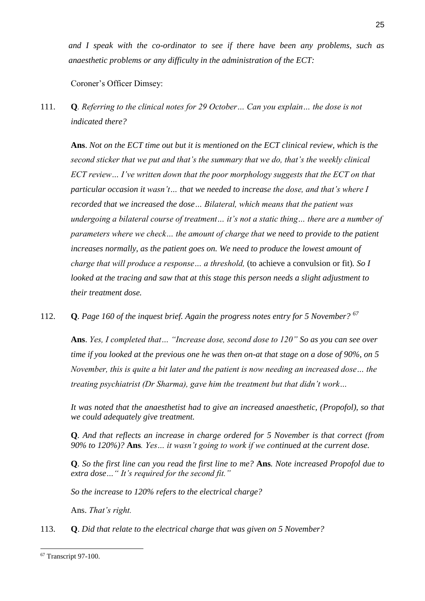*and I speak with the co-ordinator to see if there have been any problems, such as anaesthetic problems or any difficulty in the administration of the ECT:*

Coroner's Officer Dimsey:

111. **Q***. Referring to the clinical notes for 29 October… Can you explain… the dose is not indicated there?* 

**Ans**. *Not on the ECT time out but it is mentioned on the ECT clinical review, which is the second sticker that we put and that's the summary that we do, that's the weekly clinical ECT review… I've written down that the poor morphology suggests that the ECT on that particular occasion it wasn't… that we needed to increase the dose, and that's where I recorded that we increased the dose… Bilateral, which means that the patient was undergoing a bilateral course of treatment… it's not a static thing… there are a number of parameters where we check… the amount of charge that we need to provide to the patient increases normally, as the patient goes on. We need to produce the lowest amount of charge that will produce a response… a threshold,* (to achieve a convulsion or fit)*. So I looked at the tracing and saw that at this stage this person needs a slight adjustment to their treatment dose.*

112. **Q***. Page 160 of the inquest brief. Again the progress notes entry for 5 November? <sup>67</sup>*

**Ans**. *Yes, I completed that… "Increase dose, second dose to 120" So as you can see over time if you looked at the previous one he was then on-at that stage on a dose of 90%, on 5 November, this is quite a bit later and the patient is now needing an increased dose… the treating psychiatrist (Dr Sharma), gave him the treatment but that didn't work…* 

*It was noted that the anaesthetist had to give an increased anaesthetic, (Propofol), so that we could adequately give treatment.*

**Q***. And that reflects an increase in charge ordered for 5 November is that correct (from 90% to 120%)?* **Ans***. Yes… it wasn't going to work if we continued at the current dose.* 

**Q***. So the first line can you read the first line to me?* **Ans***. Note increased Propofol due to extra dose…" It's required for the second fit."*

*So the increase to 120% refers to the electrical charge?* 

Ans. *That's right.* 

113. **Q**. *Did that relate to the electrical charge that was given on 5 November?* 

<sup>67</sup> Transcript 97-100.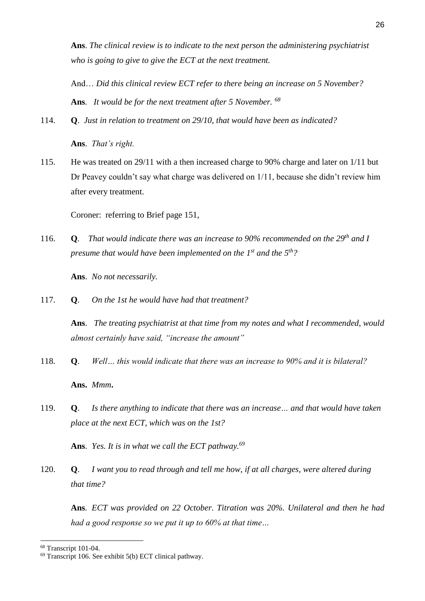**Ans**. *The clinical review is to indicate to the next person the administering psychiatrist who is going to give to give the ECT at the next treatment.* 

And… *Did this clinical review ECT refer to there being an increase on 5 November?*  **Ans***. It would be for the next treatment after 5 November. <sup>68</sup>*

114. **Q**. *Just in relation to treatment on 29/10, that would have been as indicated?* 

**Ans**. *That's right.*

115. He was treated on 29/11 with a then increased charge to 90% charge and later on 1/11 but Dr Peavey couldn't say what charge was delivered on 1/11, because she didn't review him after every treatment.

Coroner: referring to Brief page 151,

116. **Q***. That would indicate there was an increase to 90% recommended on the 29th and I presume that would have been implemented on the 1st and the 5th?* 

**Ans**. *No not necessarily.*

117. **Q**. *On the 1st he would have had that treatment?*

**Ans**. *The treating psychiatrist at that time from my notes and what I recommended, would almost certainly have said, "increase the amount"*

- 118. **Q**. *Well… this would indicate that there was an increase to 90% and it is bilateral?*  **Ans.** *Mmm***.**
- 119. **Q**. *Is there anything to indicate that there was an increase… and that would have taken place at the next ECT, which was on the 1st?*

**Ans**. *Yes. It is in what we call the ECT pathway.<sup>69</sup>*

120. **Q**. *I want you to read through and tell me how, if at all charges, were altered during that time?* 

**Ans***. ECT was provided on 22 October. Titration was 20%. Unilateral and then he had had a good response so we put it up to 60% at that time…* 

<sup>68</sup> Transcript 101-04.

<sup>69</sup> Transcript 106. See exhibit 5(b) ECT clinical pathway.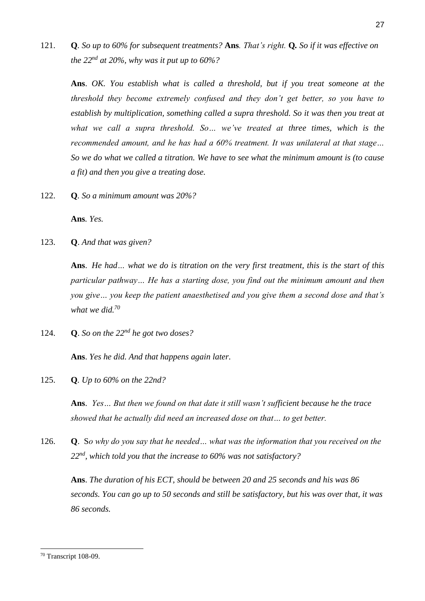121. **Q***. So up to 60% for subsequent treatments?* **Ans***. That's right.* **Q***. So if it was effective on the 22nd at 20%, why was it put up to 60%?*

**Ans**. *OK. You establish what is called a threshold, but if you treat someone at the threshold they become extremely confused and they don't get better, so you have to establish by multiplication, something called a supra threshold. So it was then you treat at what we call a supra threshold. So… we've treated at three times, which is the recommended amount, and he has had a 60% treatment. It was unilateral at that stage… So we do what we called a titration. We have to see what the minimum amount is (to cause a fit) and then you give a treating dose.* 

122. **Q***. So a minimum amount was 20%?* 

**Ans***. Yes.* 

123. **Q**. *And that was given?*

**Ans**. *He had… what we do is titration on the very first treatment, this is the start of this particular pathway… He has a starting dose, you find out the minimum amount and then you give… you keep the patient anaesthetised and you give them a second dose and that's what we did.<sup>70</sup>*

124. **Q**. *So on the 22nd he got two doses?* 

**Ans**. *Yes he did. And that happens again later.* 

125. **Q***. Up to 60% on the 22nd?* 

**Ans**. *Yes… But then we found on that date it still wasn't sufficient because he the trace showed that he actually did need an increased dose on that… to get better.*

126. **Q**. S*o why do you say that he needed… what was the information that you received on the 22nd , which told you that the increase to 60% was not satisfactory?*

**Ans**. *The duration of his ECT, should be between 20 and 25 seconds and his was 86 seconds. You can go up to 50 seconds and still be satisfactory, but his was over that, it was 86 seconds.*

<sup>70</sup> Transcript 108-09.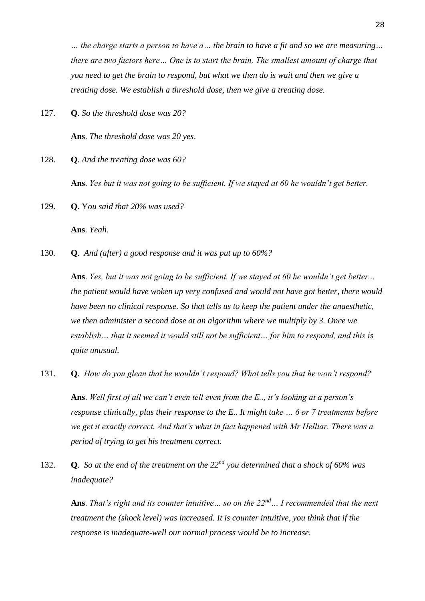*… the charge starts a person to have a… the brain to have a fit and so we are measuring… there are two factors here… One is to start the brain. The smallest amount of charge that you need to get the brain to respond, but what we then do is wait and then we give a treating dose. We establish a threshold dose, then we give a treating dose.*

127. **Q**. *So the threshold dose was 20?* 

**Ans**. *The threshold dose was 20 yes*.

128. **Q**. *And the treating dose was 60?* 

**Ans**. *Yes but it was not going to be sufficient. If we stayed at 60 he wouldn't get better.*

129. **Q**. Y*ou said that 20% was used?*

**Ans**. *Yeah*.

130. **Q**. *And (after) a good response and it was put up to 60%?*

**Ans**. *Yes, but it was not going to be sufficient. If we stayed at 60 he wouldn't get better... the patient would have woken up very confused and would not have got better, there would have been no clinical response. So that tells us to keep the patient under the anaesthetic, we then administer a second dose at an algorithm where we multiply by 3. Once we*  establish... that it seemed it would still not be sufficient... for him to respond, and this is *quite unusual.*

131. **Q**. *How do you glean that he wouldn't respond? What tells you that he won't respond?*

**Ans**. *Well first of all we can't even tell even from the E.., it's looking at a person's response clinically, plus their response to the E.. It might take … 6 or 7 treatments before we get it exactly correct. And that's what in fact happened with Mr Helliar. There was a period of trying to get his treatment correct.*

132. **Q**. *So at the end of the treatment on the 22nd you determined that a shock of 60% was inadequate?*

**Ans**. *That's right and its counter intuitive… so on the 22nd… I recommended that the next treatment the (shock level) was increased. It is counter intuitive, you think that if the response is inadequate-well our normal process would be to increase.*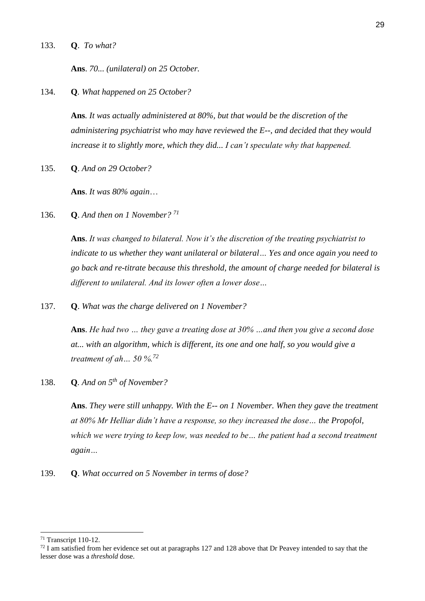133. **Q**. *To what?* 

**Ans**. *70... (unilateral) on 25 October.*

134. **Q***. What happened on 25 October?* 

**Ans***. It was actually administered at 80%, but that would be the discretion of the administering psychiatrist who may have reviewed the E--, and decided that they would increase it to slightly more, which they did... I can't speculate why that happened.*

135. **Q**. *And on 29 October?* 

**Ans**. *It was 80% again*…

136. **Q**. *And then on 1 November? <sup>71</sup>*

**Ans**. *It was changed to bilateral. Now it's the discretion of the treating psychiatrist to indicate to us whether they want unilateral or bilateral… Yes and once again you need to go back and re-titrate because this threshold, the amount of charge needed for bilateral is different to unilateral. And its lower often a lower dose…*

137. **Q**. *What was the charge delivered on 1 November?*

**Ans**. *He had two … they gave a treating dose at 30% …and then you give a second dose at... with an algorithm, which is different, its one and one half, so you would give a treatment of ah… 50 %.<sup>72</sup>*

138. **Q***. And on 5th of November?*

**Ans**. *They were still unhappy. With the E-- on 1 November. When they gave the treatment at 80% Mr Helliar didn't have a response, so they increased the dose… the Propofol, which we were trying to keep low, was needed to be… the patient had a second treatment again…*

139. **Q**. *What occurred on 5 November in terms of dose?* 

<sup>71</sup> Transcript 110-12.

 $72$  I am satisfied from her evidence set out at paragraphs 127 and 128 above that Dr Peavey intended to say that the lesser dose was a *threshold* dose.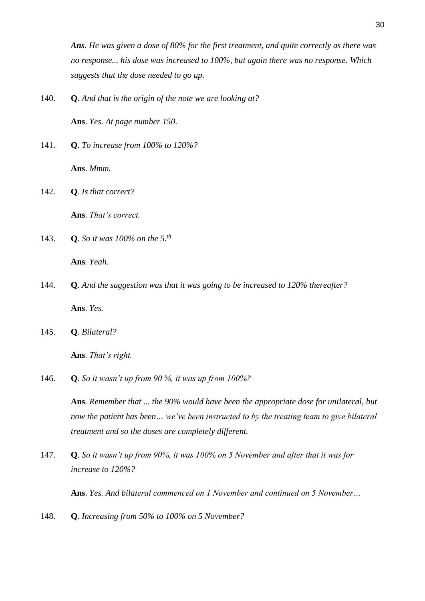*Ans. He was given a dose of 80% for the first treatment, and quite correctly as there was no response... his dose was increased to 100%, but again there was no response. Which suggests that the dose needed to go up.* 

140. **Q**. *And that is the origin of the note we are looking at?* 

**Ans**. *Yes. At page number 150.* 

141. **Q**. *To increase from 100% to 120%?* 

**Ans**. *Mmm.*

142. **Q**. *Is that correct?*

**Ans**. *That's correct.* 

143. **Q**. *So it was 100% on the 5.th* 

**Ans***. Yeah.* 

- 144. **Q**. *And the suggestion was that it was going to be increased to 120% thereafter?*  **Ans**. *Yes.*
- 145. **Q**. *Bilateral?*

**Ans**. *That's right.*

146. **Q**. *So it wasn't up from 90 %, it was up from 100%?* 

**Ans***. Remember that ... the 90% would have been the appropriate dose for unilateral, but now the patient has been… we've been instructed to by the treating team to give bilateral treatment and so the doses are completely different.*

147. **Q**. *So it wasn't up from 90%, it was 100% on 5 November and after that it was for increase to 120%?*

**Ans**. *Yes. And bilateral commenced on 1 November and continued on 5 November…* 

148. **Q**. *Increasing from 50% to 100% on 5 November?*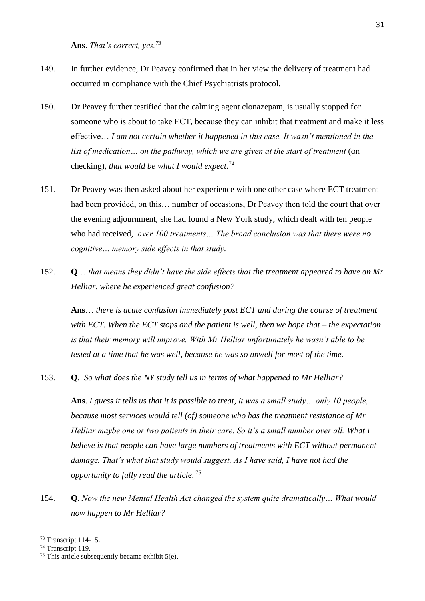**Ans**. *That's correct, yes.<sup>73</sup>*

- 149. In further evidence, Dr Peavey confirmed that in her view the delivery of treatment had occurred in compliance with the Chief Psychiatrists protocol.
- 150. Dr Peavey further testified that the calming agent clonazepam, is usually stopped for someone who is about to take ECT, because they can inhibit that treatment and make it less effective… *I am not certain whether it happened in this case. It wasn't mentioned in the list of medication… on the pathway, which we are given at the start of treatment* (on checking), *that would be what I would expect.* 74
- 151. Dr Peavey was then asked about her experience with one other case where ECT treatment had been provided, on this... number of occasions, Dr Peavey then told the court that over the evening adjournment, she had found a New York study, which dealt with ten people who had received, *over 100 treatments… The broad conclusion was that there were no cognitive… memory side effects in that study.*
- 152. **Q**… *that means they didn't have the side effects that the treatment appeared to have on Mr Helliar, where he experienced great confusion?*

**Ans**… *there is acute confusion immediately post ECT and during the course of treatment with ECT. When the ECT stops and the patient is well, then we hope that – the expectation is that their memory will improve. With Mr Helliar unfortunately he wasn't able to be tested at a time that he was well, because he was so unwell for most of the time.*

153. **Q**. *So what does the NY study tell us in terms of what happened to Mr Helliar?*

**Ans**. *I guess it tells us that it is possible to treat, it was a small study… only 10 people, because most services would tell (of) someone who has the treatment resistance of Mr Helliar maybe one or two patients in their care. So it's a small number over all. What I believe is that people can have large numbers of treatments with ECT without permanent damage. That's what that study would suggest. As I have said, I have not had the opportunity to fully read the article*. 75

154. **Q***. Now the new Mental Health Act changed the system quite dramatically… What would now happen to Mr Helliar?*

<sup>73</sup> Transcript 114-15.

<sup>74</sup> Transcript 119.

<sup>&</sup>lt;sup>75</sup> This article subsequently became exhibit  $5(e)$ .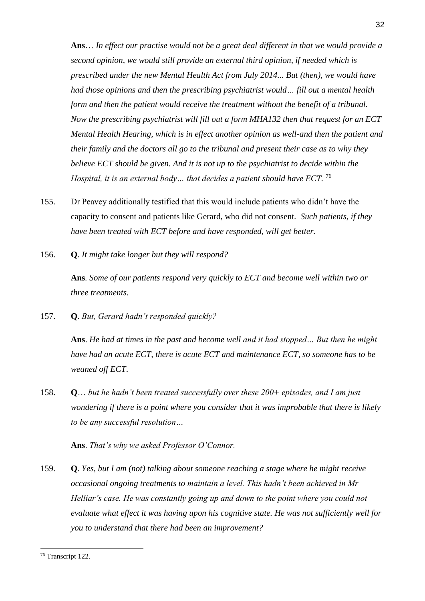**Ans**… *In effect our practise would not be a great deal different in that we would provide a second opinion, we would still provide an external third opinion, if needed which is prescribed under the new Mental Health Act from July 2014... But (then), we would have had those opinions and then the prescribing psychiatrist would… fill out a mental health form and then the patient would receive the treatment without the benefit of a tribunal. Now the prescribing psychiatrist will fill out a form MHA132 then that request for an ECT Mental Health Hearing, which is in effect another opinion as well-and then the patient and their family and the doctors all go to the tribunal and present their case as to why they believe ECT should be given. And it is not up to the psychiatrist to decide within the Hospital, it is an external body... that decides a patient should have ECT.* <sup>76</sup>

- 155. Dr Peavey additionally testified that this would include patients who didn't have the capacity to consent and patients like Gerard, who did not consent. *Such patients, if they have been treated with ECT before and have responded, will get better.*
- 156. **Q**. *It might take longer but they will respond?*

**Ans***. Some of our patients respond very quickly to ECT and become well within two or three treatments.*

157. **Q**. *But, Gerard hadn't responded quickly?*

**Ans**. *He had at times in the past and become well and it had stopped… But then he might have had an acute ECT, there is acute ECT and maintenance ECT, so someone has to be weaned off ECT*.

158. **Q**… *but he hadn't been treated successfully over these 200+ episodes, and I am just wondering if there is a point where you consider that it was improbable that there is likely to be any successful resolution…*

**Ans**. *That's why we asked Professor O'Connor.* 

159. **Q**. *Yes, but I am (not) talking about someone reaching a stage where he might receive occasional ongoing treatments to maintain a level. This hadn't been achieved in Mr Helliar's case. He was constantly going up and down to the point where you could not evaluate what effect it was having upon his cognitive state. He was not sufficiently well for you to understand that there had been an improvement?*

<sup>32</sup>

<sup>76</sup> Transcript 122.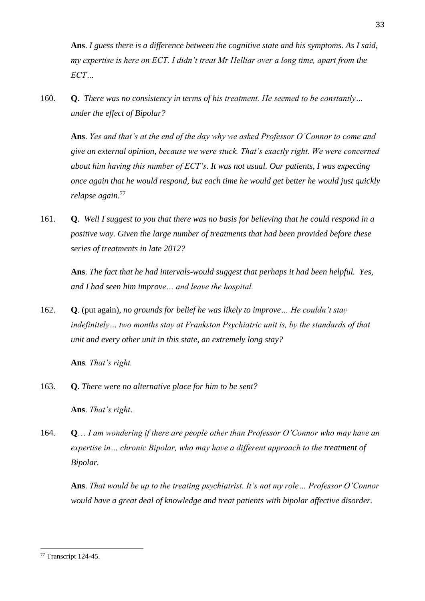**Ans**. *I guess there is a difference between the cognitive state and his symptoms. As I said, my expertise is here on ECT. I didn't treat Mr Helliar over a long time, apart from the ECT…* 

160. **Q**. *There was no consistency in terms of his treatment. He seemed to be constantly… under the effect of Bipolar?*

**Ans**. *Yes and that's at the end of the day why we asked Professor O'Connor to come and give an external opinion, because we were stuck. That's exactly right. We were concerned about him having this number of ECT's. It was not usual. Our patients, I was expecting once again that he would respond, but each time he would get better he would just quickly relapse again*. 77

161. **Q**. *Well I suggest to you that there was no basis for believing that he could respond in a positive way. Given the large number of treatments that had been provided before these series of treatments in late 2012?*

**Ans**. *The fact that he had intervals-would suggest that perhaps it had been helpful. Yes, and I had seen him improve… and leave the hospital.*

162. **Q**. (put again), *no grounds for belief he was likely to improve… He couldn't stay indefinitely… two months stay at Frankston Psychiatric unit is, by the standards of that unit and every other unit in this state, an extremely long stay?*

**Ans***. That's right.*

163. **Q**. *There were no alternative place for him to be sent?*

**Ans**. *That's right*.

164. **Q**… *I am wondering if there are people other than Professor O'Connor who may have an expertise in… chronic Bipolar, who may have a different approach to the treatment of Bipolar.*

**Ans**. *That would be up to the treating psychiatrist. It's not my role… Professor O'Connor would have a great deal of knowledge and treat patients with bipolar affective disorder.*

<sup>-</sup><sup>77</sup> Transcript 124-45.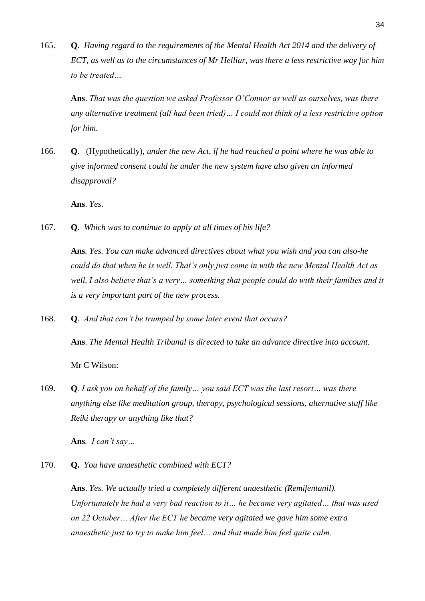165. **Q**. *Having regard to the requirements of the Mental Health Act 2014 and the delivery of ECT, as well as to the circumstances of Mr Helliar, was there a less restrictive way for him to be treated…*

**Ans**. *That was the question we asked Professor O'Connor as well as ourselves, was there any alternative treatment (all had been tried)… I could not think of a less restrictive option for him.*

166. **Q**. (Hypothetically), *under the new Act, if he had reached a point where he was able to give informed consent could he under the new system have also given an informed disapproval?*

**Ans**. *Yes*.

167. **Q**.*Which was to continue to apply at all times of his life?*

**Ans***. Yes. You can make advanced directives about what you wish and you can also-he could do that when he is well. That's only just come in with the new Mental Health Act as well. I also believe that's a very… something that people could do with their families and it is a very important part of the new process.*

168. **Q**. *And that can't be trumped by some later event that occurs?*

**Ans**. *The Mental Health Tribunal is directed to take an advance directive into account.* 

Mr C Wilson:

169. **Q***. I ask you on behalf of the family… you said ECT was the last resort… was there anything else like meditation group, therapy, psychological sessions, alternative stuff like Reiki therapy or anything like that?* 

**Ans***. I can't say…*

170. **Q.** *You have anaesthetic combined with ECT?*

**Ans**. *Yes. We actually tried a completely different anaesthetic (Remifentanil). Unfortunately he had a very bad reaction to it… he became very agitated… that was used on 22 October… After the ECT he became very agitated we gave him some extra anaesthetic just to try to make him feel… and that made him feel quite calm.*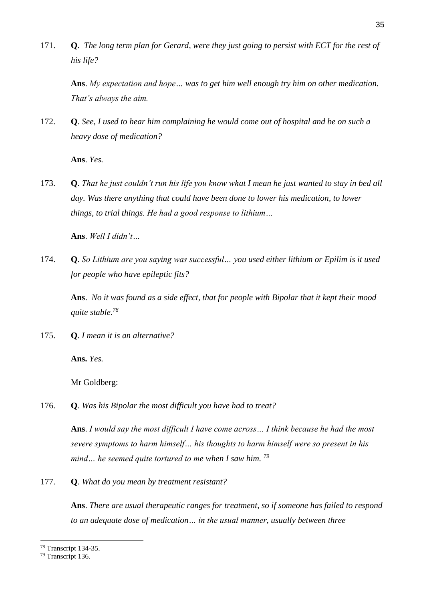171. **Q**. *The long term plan for Gerard, were they just going to persist with ECT for the rest of his life?*

**Ans**. *My expectation and hope… was to get him well enough try him on other medication. That's always the aim.*

172. **Q**. *See, I used to hear him complaining he would come out of hospital and be on such a heavy dose of medication?*

**Ans**. *Yes.*

173. **Q**. *That he just couldn't run his life you know what I mean he just wanted to stay in bed all day. Was there anything that could have been done to lower his medication, to lower things, to trial things. He had a good response to lithium…* 

**Ans**. *Well I didn't…*

174. **Q**. *So Lithium are you saying was successful… you used either lithium or Epilim is it used for people who have epileptic fits?*

**Ans**. *No it was found as a side effect, that for people with Bipolar that it kept their mood quite stable.<sup>78</sup>*

175. **Q**. *I mean it is an alternative?*

**Ans.** *Yes.*

Mr Goldberg:

176. **Q**. *Was his Bipolar the most difficult you have had to treat?*

**Ans**. *I would say the most difficult I have come across… I think because he had the most severe symptoms to harm himself… his thoughts to harm himself were so present in his mind… he seemed quite tortured to me when I saw him. <sup>79</sup>*

177. **Q**. *What do you mean by treatment resistant?*

**Ans**. *There are usual therapeutic ranges for treatment, so if someone has failed to respond to an adequate dose of medication… in the usual manner, usually between three* 

<sup>78</sup> Transcript 134-35.

<sup>79</sup> Transcript 136.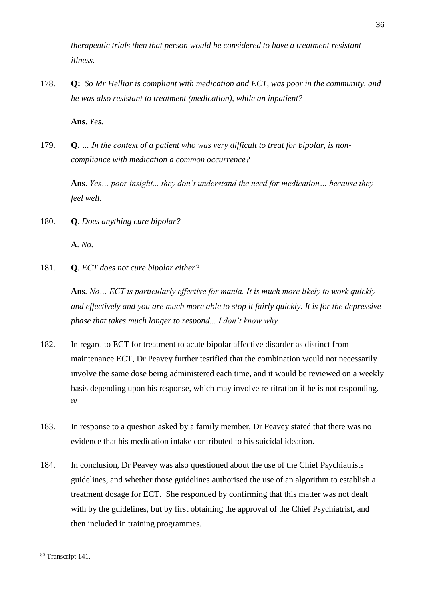*therapeutic trials then that person would be considered to have a treatment resistant illness.* 

178. **Q:** *So Mr Helliar is compliant with medication and ECT, was poor in the community, and he was also resistant to treatment (medication), while an inpatient?*

**Ans**. *Yes.*

179. **Q.** *… In the context of a patient who was very difficult to treat for bipolar, is noncompliance with medication a common occurrence?*

**Ans**. *Yes… poor insight... they don't understand the need for medication… because they feel well.*

180. **Q**. *Does anything cure bipolar?*

**A**. *No.*

181. **Q***. ECT does not cure bipolar either?*

**Ans***. No… ECT is particularly effective for mania. It is much more likely to work quickly and effectively and you are much more able to stop it fairly quickly. It is for the depressive phase that takes much longer to respond... I don't know why.*

- 182. In regard to ECT for treatment to acute bipolar affective disorder as distinct from maintenance ECT, Dr Peavey further testified that the combination would not necessarily involve the same dose being administered each time, and it would be reviewed on a weekly basis depending upon his response, which may involve re-titration if he is not responding. *80*
- 183. In response to a question asked by a family member, Dr Peavey stated that there was no evidence that his medication intake contributed to his suicidal ideation.
- 184. In conclusion, Dr Peavey was also questioned about the use of the Chief Psychiatrists guidelines, and whether those guidelines authorised the use of an algorithm to establish a treatment dosage for ECT. She responded by confirming that this matter was not dealt with by the guidelines, but by first obtaining the approval of the Chief Psychiatrist, and then included in training programmes.

<sup>80</sup> Transcript 141.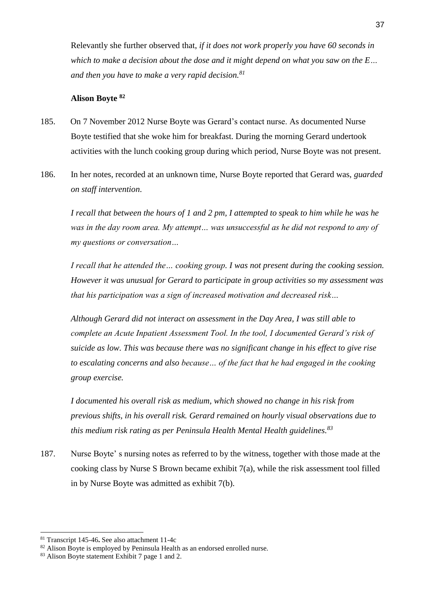Relevantly she further observed that, *if it does not work properly you have 60 seconds in which to make a decision about the dose and it might depend on what you saw on the E… and then you have to make a very rapid decision.<sup>81</sup>*

#### **Alison Boyte <sup>82</sup>**

- 185. On 7 November 2012 Nurse Boyte was Gerard's contact nurse. As documented Nurse Boyte testified that she woke him for breakfast. During the morning Gerard undertook activities with the lunch cooking group during which period, Nurse Boyte was not present.
- 186. In her notes, recorded at an unknown time, Nurse Boyte reported that Gerard was, *guarded on staff intervention*.

*I recall that between the hours of 1 and 2 pm, I attempted to speak to him while he was he was in the day room area. My attempt… was unsuccessful as he did not respond to any of my questions or conversation…*

*I recall that he attended the… cooking group. I was not present during the cooking session. However it was unusual for Gerard to participate in group activities so my assessment was that his participation was a sign of increased motivation and decreased risk…* 

*Although Gerard did not interact on assessment in the Day Area, I was still able to complete an Acute Inpatient Assessment Tool. In the tool, I documented Gerard's risk of suicide as low. This was because there was no significant change in his effect to give rise to escalating concerns and also because… of the fact that he had engaged in the cooking group exercise.*

*I documented his overall risk as medium, which showed no change in his risk from previous shifts, in his overall risk. Gerard remained on hourly visual observations due to this medium risk rating as per Peninsula Health Mental Health guidelines.<sup>83</sup>*

187. Nurse Boyte' s nursing notes as referred to by the witness, together with those made at the cooking class by Nurse S Brown became exhibit 7(a), while the risk assessment tool filled in by Nurse Boyte was admitted as exhibit 7(b).

<sup>81</sup> Transcript 145-46**.** See also attachment 11-4c

<sup>&</sup>lt;sup>82</sup> Alison Boyte is employed by Peninsula Health as an endorsed enrolled nurse.

<sup>83</sup> Alison Boyte statement Exhibit 7 page 1 and 2.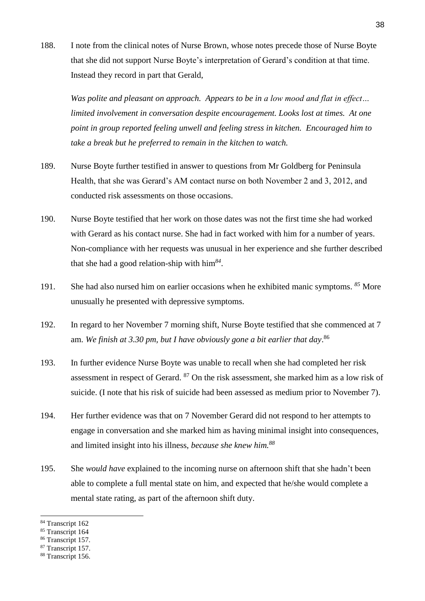188. I note from the clinical notes of Nurse Brown, whose notes precede those of Nurse Boyte that she did not support Nurse Boyte's interpretation of Gerard's condition at that time. Instead they record in part that Gerald,

*Was polite and pleasant on approach. Appears to be in a low mood and flat in effect… limited involvement in conversation despite encouragement. Looks lost at times. At one point in group reported feeling unwell and feeling stress in kitchen. Encouraged him to take a break but he preferred to remain in the kitchen to watch.*

- 189. Nurse Boyte further testified in answer to questions from Mr Goldberg for Peninsula Health, that she was Gerard's AM contact nurse on both November 2 and 3, 2012, and conducted risk assessments on those occasions.
- 190. Nurse Boyte testified that her work on those dates was not the first time she had worked with Gerard as his contact nurse. She had in fact worked with him for a number of years. Non-compliance with her requests was unusual in her experience and she further described that she had a good relation-ship with him*<sup>84</sup>* .
- 191. She had also nursed him on earlier occasions when he exhibited manic symptoms. *<sup>85</sup>* More unusually he presented with depressive symptoms.
- 192. In regard to her November 7 morning shift, Nurse Boyte testified that she commenced at 7 am. *We finish at 3.30 pm, but I have obviously gone a bit earlier that day*. 86
- 193. In further evidence Nurse Boyte was unable to recall when she had completed her risk assessment in respect of Gerard. <sup>87</sup> On the risk assessment, she marked him as a low risk of suicide. (I note that his risk of suicide had been assessed as medium prior to November 7).
- 194. Her further evidence was that on 7 November Gerard did not respond to her attempts to engage in conversation and she marked him as having minimal insight into consequences, and limited insight into his illness, *because she knew him.<sup>88</sup>*
- 195. She *would have* explained to the incoming nurse on afternoon shift that she hadn't been able to complete a full mental state on him, and expected that he/she would complete a mental state rating, as part of the afternoon shift duty.

<sup>84</sup> Transcript 162

<sup>&</sup>lt;sup>85</sup> Transcript 164

<sup>&</sup>lt;sup>86</sup> Transcript 157.

<sup>&</sup>lt;sup>87</sup> Transcript 157.

<sup>&</sup>lt;sup>88</sup> Transcript 156.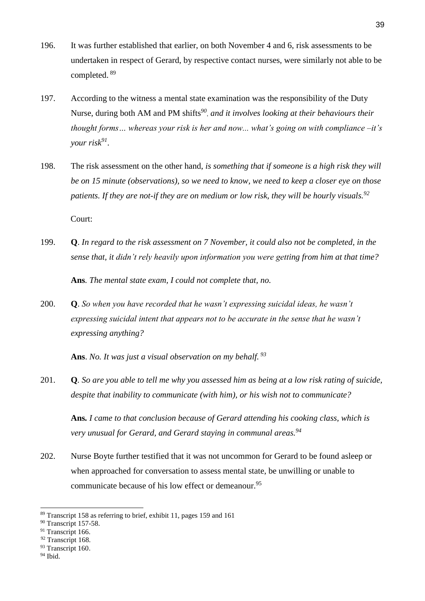- 196. It was further established that earlier, on both November 4 and 6, risk assessments to be undertaken in respect of Gerard, by respective contact nurses, were similarly not able to be completed. <sup>89</sup>
- 197. According to the witness a mental state examination was the responsibility of the Duty Nurse, during both AM and PM shifts*<sup>90</sup>* , *and it involves looking at their behaviours their thought forms… whereas your risk is her and now... what's going on with compliance –it's your risk<sup>91</sup>* .
- 198. The risk assessment on the other hand, *is something that if someone is a high risk they will be on 15 minute (observations), so we need to know, we need to keep a closer eye on those patients. If they are not-if they are on medium or low risk, they will be hourly visuals.<sup>92</sup>*

Court:

199. **Q**. *In regard to the risk assessment on 7 November, it could also not be completed, in the sense that, it didn't rely heavily upon information you were getting from him at that time?* 

**Ans***. The mental state exam, I could not complete that, no.* 

200. **Q**. *So when you have recorded that he wasn't expressing suicidal ideas, he wasn't expressing suicidal intent that appears not to be accurate in the sense that he wasn't expressing anything?* 

**Ans**. *No. It was just a visual observation on my behalf. <sup>93</sup>*

201. **Q***. So are you able to tell me why you assessed him as being at a low risk rating of suicide, despite that inability to communicate (with him), or his wish not to communicate?* 

**Ans***. I came to that conclusion because of Gerard attending his cooking class, which is very unusual for Gerard, and Gerard staying in communal areas.<sup>94</sup>*

202. Nurse Boyte further testified that it was not uncommon for Gerard to be found asleep or when approached for conversation to assess mental state, be unwilling or unable to communicate because of his low effect or demeanour.<sup>95</sup>

<sup>94</sup> Ibid.

<sup>-</sup><sup>89</sup> Transcript 158 as referring to brief, exhibit 11, pages 159 and 161

<sup>&</sup>lt;sup>90</sup> Transcript 157-58.

<sup>&</sup>lt;sup>91</sup> Transcript 166.

<sup>&</sup>lt;sup>92</sup> Transcript 168.

<sup>&</sup>lt;sup>93</sup> Transcript 160.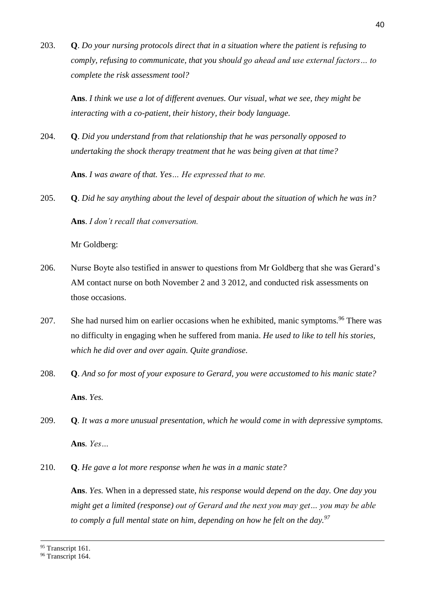203. **Q**. *Do your nursing protocols direct that in a situation where the patient is refusing to comply, refusing to communicate, that you should go ahead and use external factors… to complete the risk assessment tool?*

**Ans**. *I think we use a lot of different avenues. Our visual, what we see, they might be interacting with a co-patient, their history, their body language.* 

204. **Q**. *Did you understand from that relationship that he was personally opposed to undertaking the shock therapy treatment that he was being given at that time?*

**Ans**. *I was aware of that. Yes… He expressed that to me.*

205. **Q**. *Did he say anything about the level of despair about the situation of which he was in?* **Ans**. *I don't recall that conversation.* 

Mr Goldberg:

- 206. Nurse Boyte also testified in answer to questions from Mr Goldberg that she was Gerard's AM contact nurse on both November 2 and 3 2012, and conducted risk assessments on those occasions.
- 207. She had nursed him on earlier occasions when he exhibited, manic symptoms*.* <sup>96</sup> There was no difficulty in engaging when he suffered from mania. *He used to like to tell his stories, which he did over and over again. Quite grandiose.*
- 208. **Q**. *And so for most of your exposure to Gerard, you were accustomed to his manic state?* **Ans**. *Yes.*
- 209. **Q***. It was a more unusual presentation, which he would come in with depressive symptoms.*  **Ans***. Yes…*
- 210. **Q**. *He gave a lot more response when he was in a manic state?*

**Ans**. *Yes.* When in a depressed state, *his response would depend on the day. One day you might get a limited (response) out of Gerard and the next you may get… you may be able to comply a full mental state on him, depending on how he felt on the day.<sup>97</sup>*

<sup>95</sup> Transcript 161.

<sup>&</sup>lt;sup>96</sup> Transcript 164.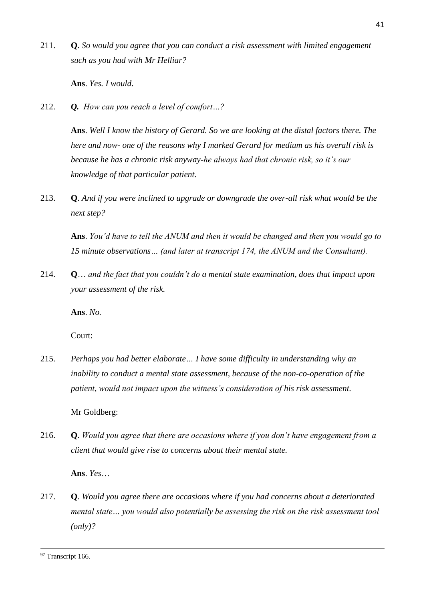211. **Q**. *So would you agree that you can conduct a risk assessment with limited engagement such as you had with Mr Helliar?*

**Ans**. *Yes. I would*.

212. *Q. How can you reach a level of comfort…?* 

**Ans**. *Well I know the history of Gerard. So we are looking at the distal factors there. The here and now- one of the reasons why I marked Gerard for medium as his overall risk is because he has a chronic risk anyway-he always had that chronic risk, so it's our knowledge of that particular patient.* 

213. **Q**. *And if you were inclined to upgrade or downgrade the over-all risk what would be the next step?*

**Ans**. *You'd have to tell the ANUM and then it would be changed and then you would go to 15 minute observations… (and later at transcript 174, the ANUM and the Consultant).* 

214. **Q**… *and the fact that you couldn't do a mental state examination, does that impact upon your assessment of the risk.*

**Ans**. *No.*

Court:

215. *Perhaps you had better elaborate… I have some difficulty in understanding why an inability to conduct a mental state assessment, because of the non-co-operation of the patient, would not impact upon the witness's consideration of his risk assessment.*

Mr Goldberg:

216. **Q**. *Would you agree that there are occasions where if you don't have engagement from a client that would give rise to concerns about their mental state.*

**Ans**. *Yes*…

217. **Q**. *Would you agree there are occasions where if you had concerns about a deteriorated mental state… you would also potentially be assessing the risk on the risk assessment tool (only)?*

<sup>&</sup>lt;sup>97</sup> Transcript 166.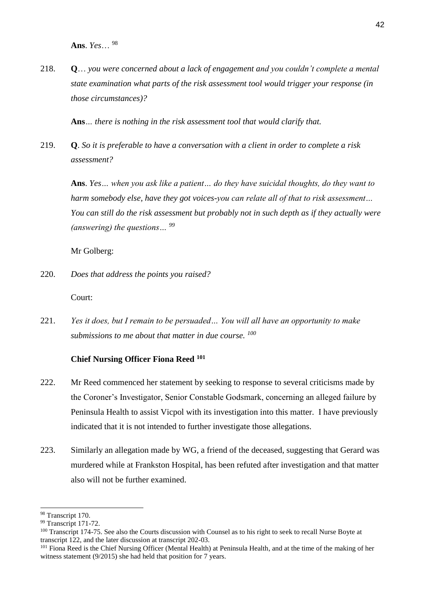**Ans**. *Yes*… 98

218. **Q**… *you were concerned about a lack of engagement and you couldn't complete a mental state examination what parts of the risk assessment tool would trigger your response (in those circumstances)?*

**Ans***… there is nothing in the risk assessment tool that would clarify that.*

219. **Q**. *So it is preferable to have a conversation with a client in order to complete a risk assessment?*

**Ans**. *Yes… when you ask like a patient… do they have suicidal thoughts, do they want to harm somebody else, have they got voices-you can relate all of that to risk assessment… You can still do the risk assessment but probably not in such depth as if they actually were (answering) the questions… <sup>99</sup>*

Mr Golberg:

220. *Does that address the points you raised?*

Court:

221. *Yes it does, but I remain to be persuaded… You will all have an opportunity to make submissions to me about that matter in due course. <sup>100</sup>*

## **Chief Nursing Officer Fiona Reed <sup>101</sup>**

- 222. Mr Reed commenced her statement by seeking to response to several criticisms made by the Coroner's Investigator, Senior Constable Godsmark, concerning an alleged failure by Peninsula Health to assist Vicpol with its investigation into this matter. I have previously indicated that it is not intended to further investigate those allegations.
- 223. Similarly an allegation made by WG, a friend of the deceased, suggesting that Gerard was murdered while at Frankston Hospital, has been refuted after investigation and that matter also will not be further examined.

<sup>-</sup><sup>98</sup> Transcript 170.

<sup>&</sup>lt;sup>99</sup> Transcript 171-72.

<sup>&</sup>lt;sup>100</sup> Transcript 174-75. See also the Courts discussion with Counsel as to his right to seek to recall Nurse Boyte at transcript 122, and the later discussion at transcript 202-03.

<sup>&</sup>lt;sup>101</sup> Fiona Reed is the Chief Nursing Officer (Mental Health) at Peninsula Health, and at the time of the making of her witness statement (9/2015) she had held that position for 7 years.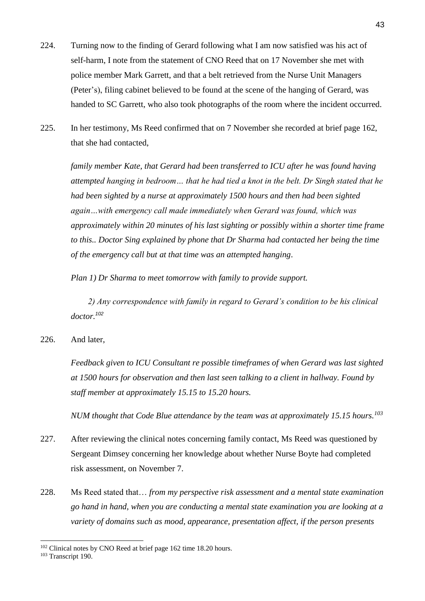- 224. Turning now to the finding of Gerard following what I am now satisfied was his act of self-harm, I note from the statement of CNO Reed that on 17 November she met with police member Mark Garrett, and that a belt retrieved from the Nurse Unit Managers (Peter's), filing cabinet believed to be found at the scene of the hanging of Gerard, was handed to SC Garrett, who also took photographs of the room where the incident occurred.
- 225. In her testimony, Ms Reed confirmed that on 7 November she recorded at brief page 162, that she had contacted,

*family member Kate, that Gerard had been transferred to ICU after he was found having attempted hanging in bedroom… that he had tied a knot in the belt. Dr Singh stated that he had been sighted by a nurse at approximately 1500 hours and then had been sighted again…with emergency call made immediately when Gerard was found, which was approximately within 20 minutes of his last sighting or possibly within a shorter time frame to this.. Doctor Sing explained by phone that Dr Sharma had contacted her being the time of the emergency call but at that time was an attempted hanging*.

*Plan 1) Dr Sharma to meet tomorrow with family to provide support.*

 *2) Any correspondence with family in regard to Gerard's condition to be his clinical doctor.<sup>102</sup>*

226. And later,

*Feedback given to ICU Consultant re possible timeframes of when Gerard was last sighted at 1500 hours for observation and then last seen talking to a client in hallway. Found by staff member at approximately 15.15 to 15.20 hours.* 

*NUM thought that Code Blue attendance by the team was at approximately 15.15 hours.<sup>103</sup>* 

- 227. After reviewing the clinical notes concerning family contact, Ms Reed was questioned by Sergeant Dimsey concerning her knowledge about whether Nurse Boyte had completed risk assessment, on November 7.
- 228. Ms Reed stated that… *from my perspective risk assessment and a mental state examination go hand in hand, when you are conducting a mental state examination you are looking at a variety of domains such as mood, appearance, presentation affect, if the person presents*

<sup>&</sup>lt;sup>102</sup> Clinical notes by CNO Reed at brief page 162 time 18.20 hours.

<sup>103</sup> Transcript 190.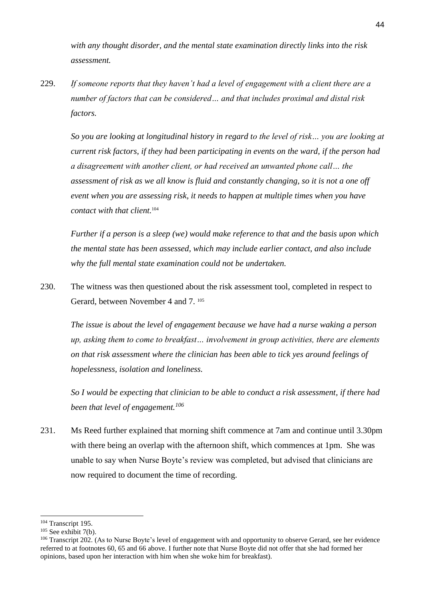*with any thought disorder, and the mental state examination directly links into the risk assessment.*

229. *If someone reports that they haven't had a level of engagement with a client there are a number of factors that can be considered… and that includes proximal and distal risk factors.*

*So you are looking at longitudinal history in regard to the level of risk… you are looking at current risk factors, if they had been participating in events on the ward, if the person had a disagreement with another client, or had received an unwanted phone call… the assessment of risk as we all know is fluid and constantly changing, so it is not a one off event when you are assessing risk, it needs to happen at multiple times when you have contact with that client.*<sup>104</sup>

*Further if a person is a sleep (we) would make reference to that and the basis upon which the mental state has been assessed, which may include earlier contact, and also include why the full mental state examination could not be undertaken.*

230. The witness was then questioned about the risk assessment tool, completed in respect to Gerard, between November 4 and 7.<sup>105</sup>

*The issue is about the level of engagement because we have had a nurse waking a person up, asking them to come to breakfast… involvement in group activities, there are elements on that risk assessment where the clinician has been able to tick yes around feelings of hopelessness, isolation and loneliness.*

*So I would be expecting that clinician to be able to conduct a risk assessment, if there had been that level of engagement.<sup>106</sup>*

231. Ms Reed further explained that morning shift commence at 7am and continue until 3.30pm with there being an overlap with the afternoon shift, which commences at 1pm. She was unable to say when Nurse Boyte's review was completed, but advised that clinicians are now required to document the time of recording.

<sup>&</sup>lt;sup>104</sup> Transcript 195.

 $105$  See exhibit 7(b).

<sup>&</sup>lt;sup>106</sup> Transcript 202. (As to Nurse Boyte's level of engagement with and opportunity to observe Gerard, see her evidence referred to at footnotes 60, 65 and 66 above. I further note that Nurse Boyte did not offer that she had formed her opinions, based upon her interaction with him when she woke him for breakfast).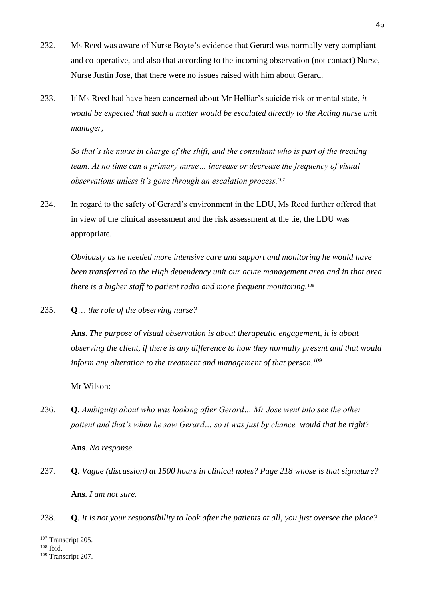- 232. Ms Reed was aware of Nurse Boyte's evidence that Gerard was normally very compliant and co-operative, and also that according to the incoming observation (not contact) Nurse, Nurse Justin Jose, that there were no issues raised with him about Gerard.
- 233. If Ms Reed had have been concerned about Mr Helliar's suicide risk or mental state, *it would be expected that such a matter would be escalated directly to the Acting nurse unit manager,*

*So that's the nurse in charge of the shift, and the consultant who is part of the treating team. At no time can a primary nurse… increase or decrease the frequency of visual observations unless it's gone through an escalation process.*<sup>107</sup>

234. In regard to the safety of Gerard's environment in the LDU, Ms Reed further offered that in view of the clinical assessment and the risk assessment at the tie, the LDU was appropriate.

*Obviously as he needed more intensive care and support and monitoring he would have been transferred to the High dependency unit our acute management area and in that area there is a higher staff to patient radio and more frequent monitoring.*<sup>108</sup>

235. **Q**… *the role of the observing nurse?* 

**Ans**. *The purpose of visual observation is about therapeutic engagement, it is about observing the client, if there is any difference to how they normally present and that would inform any alteration to the treatment and management of that person.<sup>109</sup>* 

Mr Wilson:

236. **Q**. *Ambiguity about who was looking after Gerard… Mr Jose went into see the other patient and that's when he saw Gerard… so it was just by chance, would that be right?* 

**Ans***. No response.*

- 237. **Q***. Vague (discussion) at 1500 hours in clinical notes? Page 218 whose is that signature?* **Ans***. I am not sure.*
- 238. **Q***. It is not your responsibility to look after the patients at all, you just oversee the place?*

<sup>-</sup><sup>107</sup> Transcript 205.

<sup>108</sup> Ibid.

<sup>109</sup> Transcript 207.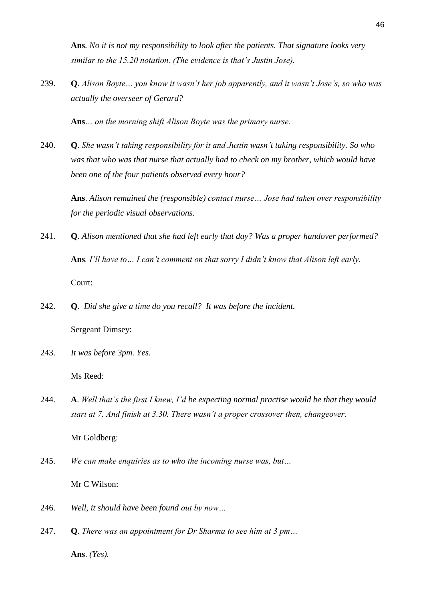**Ans***. No it is not my responsibility to look after the patients. That signature looks very similar to the 15.20 notation. (The evidence is that's Justin Jose).*

239. **Q***. Alison Boyte… you know it wasn't her job apparently, and it wasn't Jose's, so who was actually the overseer of Gerard?*

**Ans***… on the morning shift Alison Boyte was the primary nurse.*

240. **Q**. *She wasn't taking responsibility for it and Justin wasn't taking responsibility. So who was that who was that nurse that actually had to check on my brother, which would have been one of the four patients observed every hour?*

**Ans**. *Alison remained the (responsible) contact nurse… Jose had taken over responsibility for the periodic visual observations.*

- 241. **Q**. *Alison mentioned that she had left early that day? Was a proper handover performed?* **Ans***. I'll have to… I can't comment on that sorry I didn't know that Alison left early.* Court:
- 242. **Q.** *Did she give a time do you recall? It was before the incident.*

Sergeant Dimsey:

243. *It was before 3pm. Yes.*

Ms Reed:

244. **A**. *Well that's the first I knew, I'd be expecting normal practise would be that they would start at 7. And finish at 3.30. There wasn't a proper crossover then, changeover*.

Mr Goldberg:

- 245. *We can make enquiries as to who the incoming nurse was, but…* Mr C Wilson:
- 246. *Well, it should have been found out by now…*
- 247. **Q**. *There was an appointment for Dr Sharma to see him at 3 pm…* **Ans**. *(Yes).*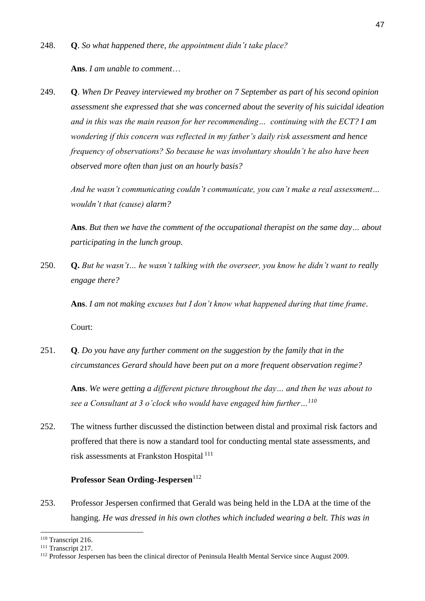**Ans**. *I am unable to comment*…

249. **Q**. *When Dr Peavey interviewed my brother on 7 September as part of his second opinion assessment she expressed that she was concerned about the severity of his suicidal ideation and in this was the main reason for her recommending… continuing with the ECT? I am wondering if this concern was reflected in my father's daily risk assessment and hence frequency of observations? So because he was involuntary shouldn't he also have been observed more often than just on an hourly basis?*

*And he wasn't communicating couldn't communicate, you can't make a real assessment… wouldn't that (cause) alarm?*

**Ans**. *But then we have the comment of the occupational therapist on the same day… about participating in the lunch group.*

250. **Q.** *But he wasn't… he wasn't talking with the overseer, you know he didn't want to really engage there?*

**Ans**. *I am not making excuses but I don't know what happened during that time frame*. Court:

251. **Q***. Do you have any further comment on the suggestion by the family that in the circumstances Gerard should have been put on a more frequent observation regime?* 

**Ans**. *We were getting a different picture throughout the day… and then he was about to see a Consultant at 3 o'clock who would have engaged him further…<sup>110</sup>*

252. The witness further discussed the distinction between distal and proximal risk factors and proffered that there is now a standard tool for conducting mental state assessments, and risk assessments at Frankston Hospital<sup>111</sup>

#### **Professor Sean Ording-Jespersen**<sup>112</sup>

253. Professor Jespersen confirmed that Gerald was being held in the LDA at the time of the hanging. *He was dressed in his own clothes which included wearing a belt. This was in* 

<sup>110</sup> Transcript 216.

<sup>&</sup>lt;sup>111</sup> Transcript 217.

<sup>112</sup> Professor Jespersen has been the clinical director of Peninsula Health Mental Service since August 2009.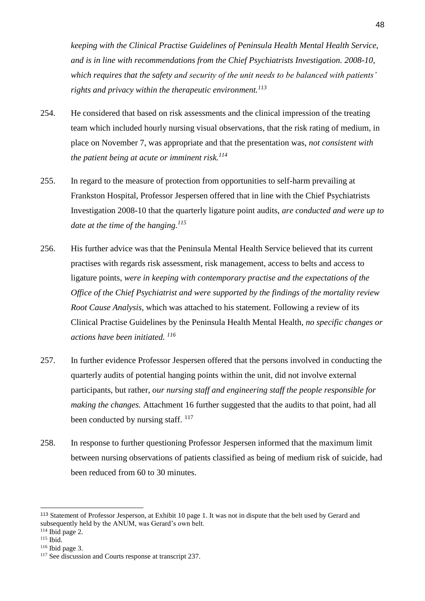*keeping with the Clinical Practise Guidelines of Peninsula Health Mental Health Service, and is in line with recommendations from the Chief Psychiatrists Investigation. 2008-10, which requires that the safety and security of the unit needs to be balanced with patients' rights and privacy within the therapeutic environment.<sup>113</sup>*

- 254. He considered that based on risk assessments and the clinical impression of the treating team which included hourly nursing visual observations, that the risk rating of medium, in place on November 7, was appropriate and that the presentation was, *not consistent with the patient being at acute or imminent risk.<sup>114</sup>*
- 255. In regard to the measure of protection from opportunities to self-harm prevailing at Frankston Hospital, Professor Jespersen offered that in line with the Chief Psychiatrists Investigation 2008-10 that the quarterly ligature point audits, *are conducted and were up to date at the time of the hanging.<sup>115</sup>*
- 256. His further advice was that the Peninsula Mental Health Service believed that its current practises with regards risk assessment, risk management, access to belts and access to ligature points, *were in keeping with contemporary practise and the expectations of the Office of the Chief Psychiatrist and were supported by the findings of the mortality review Root Cause Analysis,* which was attached to his statement. Following a review of its Clinical Practise Guidelines by the Peninsula Health Mental Health, *no specific changes or actions have been initiated. 116*
- 257. In further evidence Professor Jespersen offered that the persons involved in conducting the quarterly audits of potential hanging points within the unit, did not involve external participants, but rather, *our nursing staff and engineering staff the people responsible for making the changes.* Attachment 16 further suggested that the audits to that point, had all been conducted by nursing staff.  $117$
- 258. In response to further questioning Professor Jespersen informed that the maximum limit between nursing observations of patients classified as being of medium risk of suicide, had been reduced from 60 to 30 minutes.

<sup>113</sup> Statement of Professor Jesperson, at Exhibit 10 page 1. It was not in dispute that the belt used by Gerard and subsequently held by the ANUM, was Gerard's own belt.

<sup>114</sup> Ibid page 2.

<sup>&</sup>lt;sup>115</sup> Ibid.

 $116$  Ibid page 3.

<sup>&</sup>lt;sup>117</sup> See discussion and Courts response at transcript 237.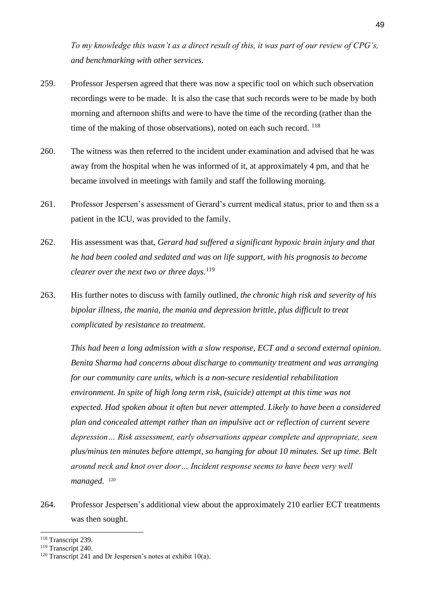*To my knowledge this wasn't as a direct result of this, it was part of our review of CPG's, and benchmarking with other services.* 

- 259. Professor Jespersen agreed that there was now a specific tool on which such observation recordings were to be made. It is also the case that such records were to be made by both morning and afternoon shifts and were to have the time of the recording (rather than the time of the making of those observations), noted on each such record.  $^{118}$
- 260. The witness was then referred to the incident under examination and advised that he was away from the hospital when he was informed of it, at approximately 4 pm, and that he became involved in meetings with family and staff the following morning.
- 261. Professor Jespersen's assessment of Gerard's current medical status, prior to and then ss a patient in the ICU, was provided to the family.
- 262. His assessment was that, *Gerard had suffered a significant hypoxic brain injury and that he had been cooled and sedated and was on life support, with his prognosis to become clearer over the next two or three days*. 119
- 263. His further notes to discuss with family outlined, *the chronic high risk and severity of his bipolar illness, the mania, the mania and depression brittle, plus difficult to treat complicated by resistance to treatment.*

*This had been a long admission with a slow response, ECT and a second external opinion. Benita Sharma had concerns about discharge to community treatment and was arranging for our community care units, which is a non-secure residential rehabilitation environment. In spite of high long term risk, (suicide) attempt at this time was not expected. Had spoken about it often but never attempted. Likely to have been a considered plan and concealed attempt rather than an impulsive act or reflection of current severe depression… Risk assessment, early observations appear complete and appropriate, seen plus/minus ten minutes before attempt, so hanging for about 10 minutes. Set up time. Belt around neck and knot over door… Incident response seems to have been very well managed.* <sup>120</sup>

264. Professor Jespersen's additional view about the approximately 210 earlier ECT treatments was then sought.

<sup>118</sup> Transcript 239.

<sup>119</sup> Transcript 240.

<sup>&</sup>lt;sup>120</sup> Transcript 241 and Dr Jespersen's notes at exhibit 10(a).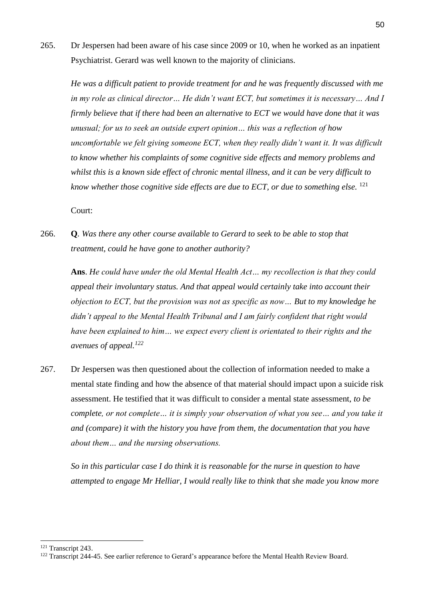265. Dr Jespersen had been aware of his case since 2009 or 10, when he worked as an inpatient Psychiatrist. Gerard was well known to the majority of clinicians.

*He was a difficult patient to provide treatment for and he was frequently discussed with me in my role as clinical director… He didn't want ECT, but sometimes it is necessary… And I firmly believe that if there had been an alternative to ECT we would have done that it was unusual; for us to seek an outside expert opinion… this was a reflection of how uncomfortable we felt giving someone ECT, when they really didn't want it. It was difficult to know whether his complaints of some cognitive side effects and memory problems and whilst this is a known side effect of chronic mental illness, and it can be very difficult to know whether those cognitive side effects are due to ECT, or due to something else.* <sup>121</sup>

Court:

266. **Q***. Was there any other course available to Gerard to seek to be able to stop that treatment, could he have gone to another authority?*

**Ans**. *He could have under the old Mental Health Act… my recollection is that they could appeal their involuntary status. And that appeal would certainly take into account their objection to ECT, but the provision was not as specific as now… But to my knowledge he didn't appeal to the Mental Health Tribunal and I am fairly confident that right would have been explained to him… we expect every client is orientated to their rights and the avenues of appeal.<sup>122</sup>*

267. Dr Jespersen was then questioned about the collection of information needed to make a mental state finding and how the absence of that material should impact upon a suicide risk assessment. He testified that it was difficult to consider a mental state assessment, *to be complete, or not complete… it is simply your observation of what you see… and you take it and (compare) it with the history you have from them, the documentation that you have about them… and the nursing observations.* 

*So in this particular case I do think it is reasonable for the nurse in question to have attempted to engage Mr Helliar, I would really like to think that she made you know more* 

<sup>121</sup> Transcript 243.

<sup>&</sup>lt;sup>122</sup> Transcript 244-45. See earlier reference to Gerard's appearance before the Mental Health Review Board.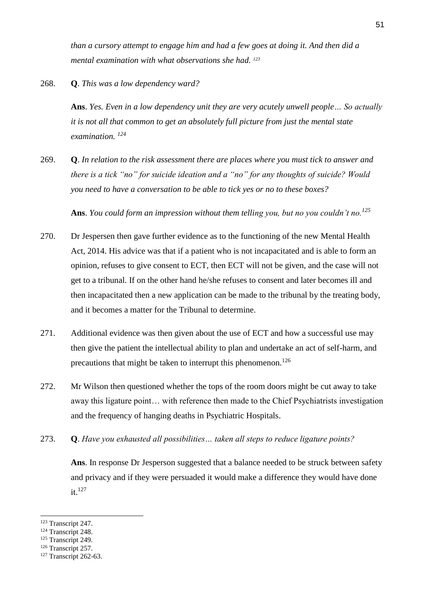*than a cursory attempt to engage him and had a few goes at doing it. And then did a mental examination with what observations she had. <sup>123</sup>*

## 268. **Q**. *This was a low dependency ward?*

**Ans**. *Yes. Even in a low dependency unit they are very acutely unwell people… So actually it is not all that common to get an absolutely full picture from just the mental state examination. <sup>124</sup>*

269. **Q**. *In relation to the risk assessment there are places where you must tick to answer and there is a tick "no" for suicide ideation and a "no" for any thoughts of suicide? Would you need to have a conversation to be able to tick yes or no to these boxes?*

**Ans**. *You could form an impression without them telling you, but no you couldn't no.<sup>125</sup>*

- 270. Dr Jespersen then gave further evidence as to the functioning of the new Mental Health Act, 2014. His advice was that if a patient who is not incapacitated and is able to form an opinion, refuses to give consent to ECT, then ECT will not be given, and the case will not get to a tribunal. If on the other hand he/she refuses to consent and later becomes ill and then incapacitated then a new application can be made to the tribunal by the treating body, and it becomes a matter for the Tribunal to determine.
- 271. Additional evidence was then given about the use of ECT and how a successful use may then give the patient the intellectual ability to plan and undertake an act of self-harm, and precautions that might be taken to interrupt this phenomenon.<sup>126</sup>
- 272. Mr Wilson then questioned whether the tops of the room doors might be cut away to take away this ligature point… with reference then made to the Chief Psychiatrists investigation and the frequency of hanging deaths in Psychiatric Hospitals.
- 273. **Q**. *Have you exhausted all possibilities… taken all steps to reduce ligature points?*

**Ans**. In response Dr Jesperson suggested that a balance needed to be struck between safety and privacy and if they were persuaded it would make a difference they would have done it.<sup>127</sup>

<sup>123</sup> Transcript 247.

<sup>&</sup>lt;sup>124</sup> Transcript 248.

<sup>&</sup>lt;sup>125</sup> Transcript 249.

<sup>&</sup>lt;sup>126</sup> Transcript 257.

<sup>&</sup>lt;sup>127</sup> Transcript 262-63.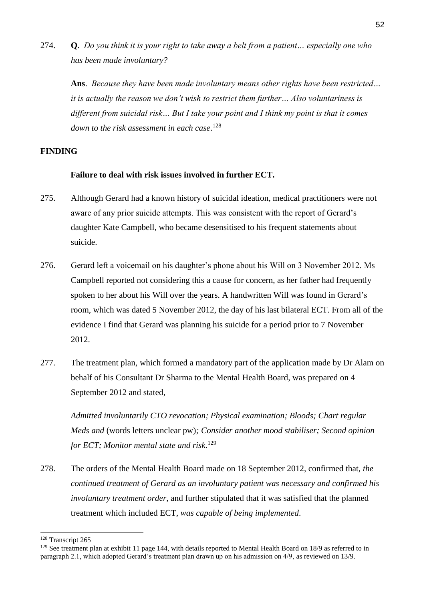274. **Q**. *Do you think it is your right to take away a belt from a patient… especially one who has been made involuntary?*

**Ans**. *Because they have been made involuntary means other rights have been restricted… it is actually the reason we don't wish to restrict them further… Also voluntariness is different from suicidal risk… But I take your point and I think my point is that it comes down to the risk assessment in each case*. 128

## **FINDING**

## **Failure to deal with risk issues involved in further ECT.**

- 275. Although Gerard had a known history of suicidal ideation, medical practitioners were not aware of any prior suicide attempts. This was consistent with the report of Gerard's daughter Kate Campbell, who became desensitised to his frequent statements about suicide.
- 276. Gerard left a voicemail on his daughter's phone about his Will on 3 November 2012. Ms Campbell reported not considering this a cause for concern, as her father had frequently spoken to her about his Will over the years. A handwritten Will was found in Gerard's room, which was dated 5 November 2012, the day of his last bilateral ECT. From all of the evidence I find that Gerard was planning his suicide for a period prior to 7 November 2012.
- 277. The treatment plan, which formed a mandatory part of the application made by Dr Alam on behalf of his Consultant Dr Sharma to the Mental Health Board, was prepared on 4 September 2012 and stated,

*Admitted involuntarily CTO revocation; Physical examination; Bloods; Chart regular Meds and* (words letters unclear pw)*; Consider another mood stabiliser; Second opinion for ECT; Monitor mental state and risk*. 129

278. The orders of the Mental Health Board made on 18 September 2012, confirmed that, *the continued treatment of Gerard as an involuntary patient was necessary and confirmed his involuntary treatment order,* and further stipulated that it was satisfied that the planned treatment which included ECT, *was capable of being implemented*.

<sup>128</sup> Transcript 265

<sup>&</sup>lt;sup>129</sup> See treatment plan at exhibit 11 page 144, with details reported to Mental Health Board on 18/9 as referred to in paragraph 2.1, which adopted Gerard's treatment plan drawn up on his admission on 4/9, as reviewed on 13/9.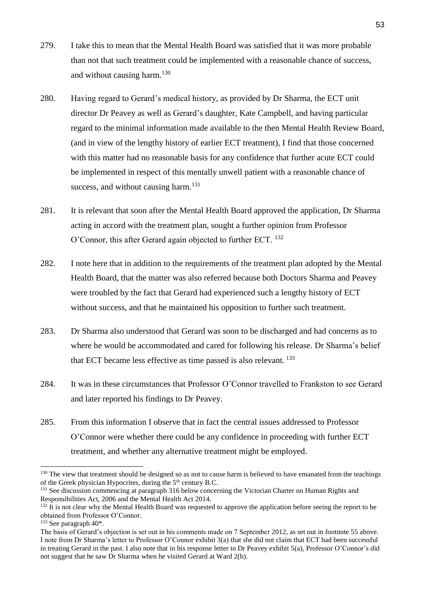- 279. I take this to mean that the Mental Health Board was satisfied that it was more probable than not that such treatment could be implemented with a reasonable chance of success, and without causing harm.<sup>130</sup>
- 280. Having regard to Gerard's medical history, as provided by Dr Sharma, the ECT unit director Dr Peavey as well as Gerard's daughter, Kate Campbell, and having particular regard to the minimal information made available to the then Mental Health Review Board, (and in view of the lengthy history of earlier ECT treatment), I find that those concerned with this matter had no reasonable basis for any confidence that further acute ECT could be implemented in respect of this mentally unwell patient with a reasonable chance of success, and without causing harm.<sup>131</sup>
- 281. It is relevant that soon after the Mental Health Board approved the application, Dr Sharma acting in accord with the treatment plan, sought a further opinion from Professor O'Connor, this after Gerard again objected to further ECT. <sup>132</sup>
- 282. I note here that in addition to the requirements of the treatment plan adopted by the Mental Health Board, that the matter was also referred because both Doctors Sharma and Peavey were troubled by the fact that Gerard had experienced such a lengthy history of ECT without success, and that he maintained his opposition to further such treatment.
- 283. Dr Sharma also understood that Gerard was soon to be discharged and had concerns as to where he would be accommodated and cared for following his release. Dr Sharma's belief that ECT became less effective as time passed is also relevant. <sup>133</sup>
- 284. It was in these circumstances that Professor O'Connor travelled to Frankston to see Gerard and later reported his findings to Dr Peavey.
- 285. From this information I observe that in fact the central issues addressed to Professor O'Connor were whether there could be any confidence in proceeding with further ECT treatment, and whether any alternative treatment might be employed.

<sup>&</sup>lt;sup>130</sup> The view that treatment should be designed so as not to cause harm is believed to have emanated from the teachings of the Greek physician Hypocrites, during the  $5<sup>th</sup>$  century B.C.

<sup>&</sup>lt;sup>131</sup> See discussion commencing at paragraph 316 below concerning the Victorian Charter on Human Rights and Responsibilities Act, 2006 and the Mental Health Act 2014.

 $132$  It is not clear why the Mental Health Board was requested to approve the application before seeing the report to be obtained from Professor O'Connor.

 $133$  See paragraph  $40^*$ .

The basis of Gerard's objection is set out in his comments made on 7 September 2012, as set out in footnote 55 above. I note from Dr Sharma's letter to Professor O'Connor exhibit 3(a) that she did not claim that ECT had been successful in treating Gerard in the past. I also note that in his response letter to Dr Peavey exhibit 5(a), Professor O'Connor's did not suggest that he saw Dr Sharma when he visited Gerard at Ward 2(b).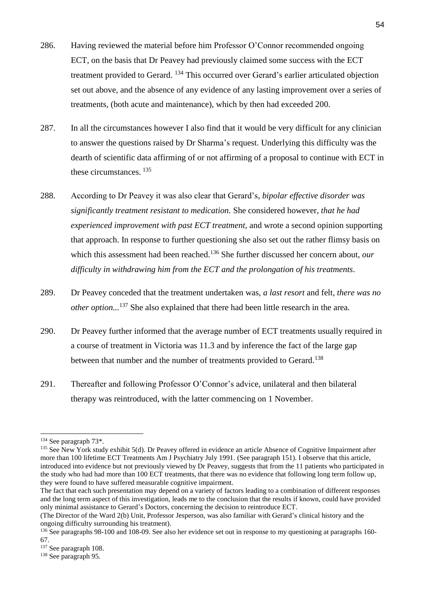- 286. Having reviewed the material before him Professor O'Connor recommended ongoing ECT, on the basis that Dr Peavey had previously claimed some success with the ECT treatment provided to Gerard. <sup>134</sup> This occurred over Gerard's earlier articulated objection set out above, and the absence of any evidence of any lasting improvement over a series of treatments, (both acute and maintenance), which by then had exceeded 200.
- 287. In all the circumstances however I also find that it would be very difficult for any clinician to answer the questions raised by Dr Sharma's request. Underlying this difficulty was the dearth of scientific data affirming of or not affirming of a proposal to continue with ECT in these circumstances. <sup>135</sup>
- 288. According to Dr Peavey it was also clear that Gerard's, *bipolar effective disorder was significantly treatment resistant to medication.* She considered however, *that he had experienced improvement with past ECT treatment,* and wrote a second opinion supporting that approach. In response to further questioning she also set out the rather flimsy basis on which this assessment had been reached.<sup>136</sup> She further discussed her concern about, *our difficulty in withdrawing him from the ECT and the prolongation of his treatments*.
- 289. Dr Peavey conceded that the treatment undertaken was, *a last resort* and felt, *there was no other option...* <sup>137</sup> She also explained that there had been little research in the area.
- 290. Dr Peavey further informed that the average number of ECT treatments usually required in a course of treatment in Victoria was 11.3 and by inference the fact of the large gap between that number and the number of treatments provided to Gerard.<sup>138</sup>
- 291. Thereafter and following Professor O'Connor's advice, unilateral and then bilateral therapy was reintroduced, with the latter commencing on 1 November.

<sup>-</sup><sup>134</sup> See paragraph 73\*.

<sup>&</sup>lt;sup>135</sup> See New York study exhibit 5(d). Dr Peavey offered in evidence an article Absence of Cognitive Impairment after more than 100 lifetime ECT Treatments Am J Psychiatry July 1991. (See paragraph 151). I observe that this article, introduced into evidence but not previously viewed by Dr Peavey, suggests that from the 11 patients who participated in the study who had had more than 100 ECT treatments, that there was no evidence that following long term follow up, they were found to have suffered measurable cognitive impairment.

The fact that each such presentation may depend on a variety of factors leading to a combination of different responses and the long term aspect of this investigation, leads me to the conclusion that the results if known, could have provided only minimal assistance to Gerard's Doctors, concerning the decision to reintroduce ECT.

<sup>(</sup>The Director of the Ward 2(b) Unit, Professor Jesperson, was also familiar with Gerard's clinical history and the ongoing difficulty surrounding his treatment).

<sup>&</sup>lt;sup>136</sup> See paragraphs 98-100 and 108-09. See also her evidence set out in response to my questioning at paragraphs 160-67.

<sup>137</sup> See paragraph 108.

<sup>138</sup> See paragraph 95.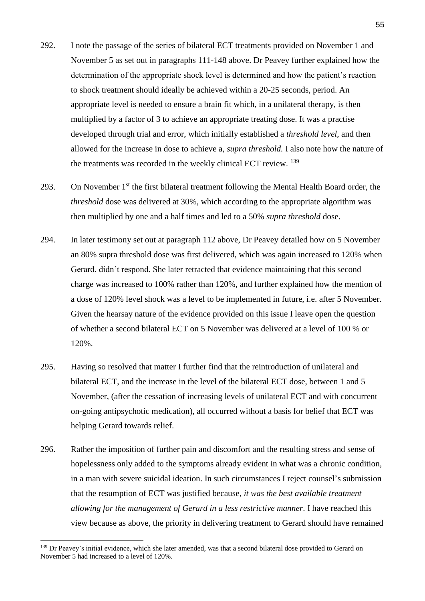- 292. I note the passage of the series of bilateral ECT treatments provided on November 1 and November 5 as set out in paragraphs 111-148 above. Dr Peavey further explained how the determination of the appropriate shock level is determined and how the patient's reaction to shock treatment should ideally be achieved within a 20-25 seconds, period. An appropriate level is needed to ensure a brain fit which, in a unilateral therapy, is then multiplied by a factor of 3 to achieve an appropriate treating dose. It was a practise developed through trial and error, which initially established a *threshold level,* and then allowed for the increase in dose to achieve a, *supra threshold.* I also note how the nature of the treatments was recorded in the weekly clinical ECT review. <sup>139</sup>
- 293. On November  $1<sup>st</sup>$  the first bilateral treatment following the Mental Health Board order, the *threshold* dose was delivered at 30%, which according to the appropriate algorithm was then multiplied by one and a half times and led to a 50% *supra threshold* dose.
- 294. In later testimony set out at paragraph 112 above, Dr Peavey detailed how on 5 November an 80% supra threshold dose was first delivered, which was again increased to 120% when Gerard, didn't respond. She later retracted that evidence maintaining that this second charge was increased to 100% rather than 120%, and further explained how the mention of a dose of 120% level shock was a level to be implemented in future, i.e. after 5 November. Given the hearsay nature of the evidence provided on this issue I leave open the question of whether a second bilateral ECT on 5 November was delivered at a level of 100 % or 120%.
- 295. Having so resolved that matter I further find that the reintroduction of unilateral and bilateral ECT, and the increase in the level of the bilateral ECT dose, between 1 and 5 November, (after the cessation of increasing levels of unilateral ECT and with concurrent on-going antipsychotic medication), all occurred without a basis for belief that ECT was helping Gerard towards relief.
- 296. Rather the imposition of further pain and discomfort and the resulting stress and sense of hopelessness only added to the symptoms already evident in what was a chronic condition, in a man with severe suicidal ideation. In such circumstances I reject counsel's submission that the resumption of ECT was justified because, *it was the best available treatment allowing for the management of Gerard in a less restrictive manner*. I have reached this view because as above, the priority in delivering treatment to Gerard should have remained

<sup>&</sup>lt;sup>139</sup> Dr Peavey's initial evidence, which she later amended, was that a second bilateral dose provided to Gerard on November 5 had increased to a level of 120%.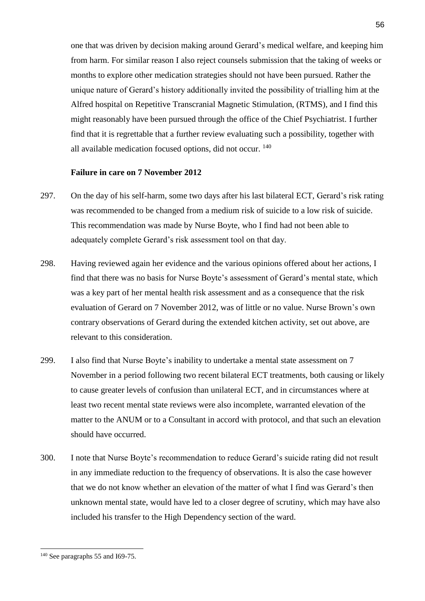one that was driven by decision making around Gerard's medical welfare, and keeping him from harm. For similar reason I also reject counsels submission that the taking of weeks or months to explore other medication strategies should not have been pursued. Rather the unique nature of Gerard's history additionally invited the possibility of trialling him at the Alfred hospital on Repetitive Transcranial Magnetic Stimulation, (RTMS), and I find this might reasonably have been pursued through the office of the Chief Psychiatrist. I further find that it is regrettable that a further review evaluating such a possibility, together with all available medication focused options, did not occur. <sup>140</sup>

#### **Failure in care on 7 November 2012**

- 297. On the day of his self-harm, some two days after his last bilateral ECT, Gerard's risk rating was recommended to be changed from a medium risk of suicide to a low risk of suicide. This recommendation was made by Nurse Boyte, who I find had not been able to adequately complete Gerard's risk assessment tool on that day.
- 298. Having reviewed again her evidence and the various opinions offered about her actions, I find that there was no basis for Nurse Boyte's assessment of Gerard's mental state, which was a key part of her mental health risk assessment and as a consequence that the risk evaluation of Gerard on 7 November 2012, was of little or no value. Nurse Brown's own contrary observations of Gerard during the extended kitchen activity, set out above, are relevant to this consideration.
- 299. I also find that Nurse Boyte's inability to undertake a mental state assessment on 7 November in a period following two recent bilateral ECT treatments, both causing or likely to cause greater levels of confusion than unilateral ECT, and in circumstances where at least two recent mental state reviews were also incomplete, warranted elevation of the matter to the ANUM or to a Consultant in accord with protocol, and that such an elevation should have occurred.
- 300. I note that Nurse Boyte's recommendation to reduce Gerard's suicide rating did not result in any immediate reduction to the frequency of observations. It is also the case however that we do not know whether an elevation of the matter of what I find was Gerard's then unknown mental state, would have led to a closer degree of scrutiny, which may have also included his transfer to the High Dependency section of the ward.

<sup>56</sup>

<sup>140</sup> See paragraphs 55 and I69-75.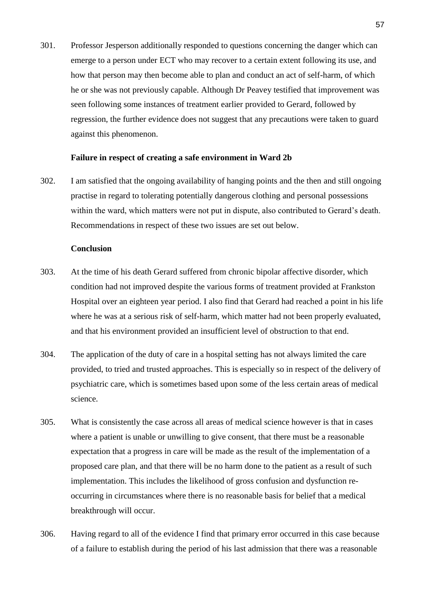301. Professor Jesperson additionally responded to questions concerning the danger which can emerge to a person under ECT who may recover to a certain extent following its use, and how that person may then become able to plan and conduct an act of self-harm, of which he or she was not previously capable. Although Dr Peavey testified that improvement was seen following some instances of treatment earlier provided to Gerard, followed by regression, the further evidence does not suggest that any precautions were taken to guard against this phenomenon.

#### **Failure in respect of creating a safe environment in Ward 2b**

302. I am satisfied that the ongoing availability of hanging points and the then and still ongoing practise in regard to tolerating potentially dangerous clothing and personal possessions within the ward, which matters were not put in dispute, also contributed to Gerard's death. Recommendations in respect of these two issues are set out below.

#### **Conclusion**

- 303. At the time of his death Gerard suffered from chronic bipolar affective disorder, which condition had not improved despite the various forms of treatment provided at Frankston Hospital over an eighteen year period. I also find that Gerard had reached a point in his life where he was at a serious risk of self-harm, which matter had not been properly evaluated, and that his environment provided an insufficient level of obstruction to that end.
- 304. The application of the duty of care in a hospital setting has not always limited the care provided, to tried and trusted approaches. This is especially so in respect of the delivery of psychiatric care, which is sometimes based upon some of the less certain areas of medical science.
- 305. What is consistently the case across all areas of medical science however is that in cases where a patient is unable or unwilling to give consent, that there must be a reasonable expectation that a progress in care will be made as the result of the implementation of a proposed care plan, and that there will be no harm done to the patient as a result of such implementation. This includes the likelihood of gross confusion and dysfunction reoccurring in circumstances where there is no reasonable basis for belief that a medical breakthrough will occur.
- 306. Having regard to all of the evidence I find that primary error occurred in this case because of a failure to establish during the period of his last admission that there was a reasonable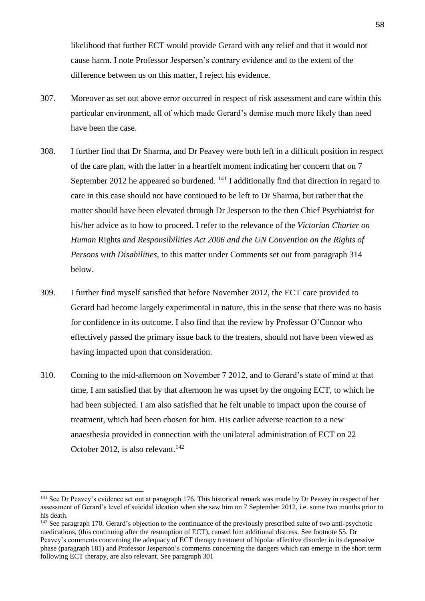likelihood that further ECT would provide Gerard with any relief and that it would not cause harm. I note Professor Jespersen's contrary evidence and to the extent of the difference between us on this matter, I reject his evidence.

- 307. Moreover as set out above error occurred in respect of risk assessment and care within this particular environment, all of which made Gerard's demise much more likely than need have been the case.
- 308. I further find that Dr Sharma, and Dr Peavey were both left in a difficult position in respect of the care plan, with the latter in a heartfelt moment indicating her concern that on 7 September 2012 he appeared so burdened.  $^{141}$  I additionally find that direction in regard to care in this case should not have continued to be left to Dr Sharma, but rather that the matter should have been elevated through Dr Jesperson to the then Chief Psychiatrist for his/her advice as to how to proceed. I refer to the relevance of the *Victorian Charter on Human* Rights *and Responsibilities Act 2006 and the UN Convention on the Rights of Persons with Disabilities,* to this matter under Comments set out from paragraph 314 below.
- 309. I further find myself satisfied that before November 2012, the ECT care provided to Gerard had become largely experimental in nature, this in the sense that there was no basis for confidence in its outcome. I also find that the review by Professor O'Connor who effectively passed the primary issue back to the treaters, should not have been viewed as having impacted upon that consideration.
- 310. Coming to the mid-afternoon on November 7 2012, and to Gerard's state of mind at that time, I am satisfied that by that afternoon he was upset by the ongoing ECT, to which he had been subjected. I am also satisfied that he felt unable to impact upon the course of treatment, which had been chosen for him. His earlier adverse reaction to a new anaesthesia provided in connection with the unilateral administration of ECT on 22 October 2012, is also relevant.<sup>142</sup>

<sup>&</sup>lt;sup>141</sup> See Dr Peavey's evidence set out at paragraph 176. This historical remark was made by Dr Peavey in respect of her assessment of Gerard's level of suicidal ideation when she saw him on 7 September 2012, i.e. some two months prior to his death.

 $142$  See paragraph 170. Gerard's objection to the continuance of the previously prescribed suite of two anti-psychotic medications, (this continuing after the resumption of ECT), caused him additional distress. See footnote 55. Dr Peavey's comments concerning the adequacy of ECT therapy treatment of bipolar affective disorder in its depressive phase (paragraph 181) and Professor Jesperson's comments concerning the dangers which can emerge in the short term following ECT therapy, are also relevant. See paragraph 301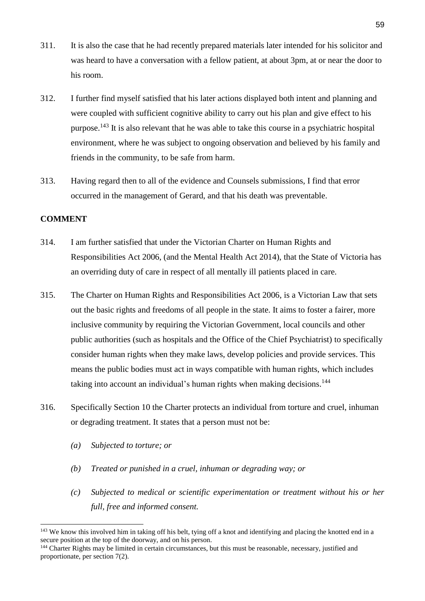- 311. It is also the case that he had recently prepared materials later intended for his solicitor and was heard to have a conversation with a fellow patient, at about 3pm, at or near the door to his room.
- 312. I further find myself satisfied that his later actions displayed both intent and planning and were coupled with sufficient cognitive ability to carry out his plan and give effect to his purpose.<sup>143</sup> It is also relevant that he was able to take this course in a psychiatric hospital environment, where he was subject to ongoing observation and believed by his family and friends in the community, to be safe from harm.
- 313. Having regard then to all of the evidence and Counsels submissions, I find that error occurred in the management of Gerard, and that his death was preventable.

## **COMMENT**

- 314. I am further satisfied that under the Victorian Charter on Human Rights and Responsibilities Act 2006, (and the Mental Health Act 2014), that the State of Victoria has an overriding duty of care in respect of all mentally ill patients placed in care.
- 315. The Charter on Human Rights and Responsibilities Act 2006, is a Victorian Law that sets out the basic rights and freedoms of all people in the state. It aims to foster a fairer, more inclusive community by requiring the Victorian Government, local councils and other public authorities (such as hospitals and the Office of the Chief Psychiatrist) to specifically consider human rights when they make laws, develop policies and provide services. This means the public bodies must act in ways compatible with human rights, which includes taking into account an individual's human rights when making decisions.<sup>144</sup>
- 316. Specifically Section 10 the Charter protects an individual from torture and cruel, inhuman or degrading treatment. It states that a person must not be:
	- *(a) Subjected to torture; or*
	- *(b) Treated or punished in a cruel, inhuman or degrading way; or*
	- *(c) Subjected to medical or scientific experimentation or treatment without his or her full, free and informed consent.*

<sup>&</sup>lt;sup>143</sup> We know this involved him in taking off his belt, tying off a knot and identifying and placing the knotted end in a secure position at the top of the doorway, and on his person.

<sup>&</sup>lt;sup>144</sup> Charter Rights may be limited in certain circumstances, but this must be reasonable, necessary, justified and proportionate, per section 7(2).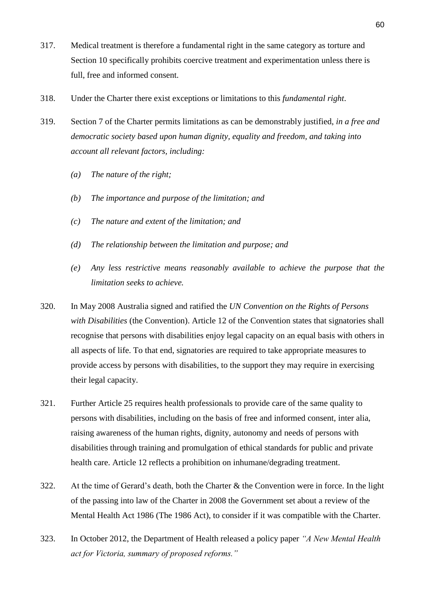- 317. Medical treatment is therefore a fundamental right in the same category as torture and Section 10 specifically prohibits coercive treatment and experimentation unless there is full, free and informed consent.
- 318. Under the Charter there exist exceptions or limitations to this *fundamental right*.
- 319. Section 7 of the Charter permits limitations as can be demonstrably justified, *in a free and democratic society based upon human dignity, equality and freedom, and taking into account all relevant factors, including:*
	- *(a) The nature of the right;*
	- *(b) The importance and purpose of the limitation; and*
	- *(c) The nature and extent of the limitation; and*
	- *(d) The relationship between the limitation and purpose; and*
	- *(e) Any less restrictive means reasonably available to achieve the purpose that the limitation seeks to achieve.*
- 320. In May 2008 Australia signed and ratified the *UN Convention on the Rights of Persons with Disabilities* (the Convention). Article 12 of the Convention states that signatories shall recognise that persons with disabilities enjoy legal capacity on an equal basis with others in all aspects of life. To that end, signatories are required to take appropriate measures to provide access by persons with disabilities, to the support they may require in exercising their legal capacity.
- 321. Further Article 25 requires health professionals to provide care of the same quality to persons with disabilities, including on the basis of free and informed consent, inter alia, raising awareness of the human rights, dignity, autonomy and needs of persons with disabilities through training and promulgation of ethical standards for public and private health care. Article 12 reflects a prohibition on inhumane/degrading treatment.
- 322. At the time of Gerard's death, both the Charter & the Convention were in force. In the light of the passing into law of the Charter in 2008 the Government set about a review of the Mental Health Act 1986 (The 1986 Act), to consider if it was compatible with the Charter.
- 323. In October 2012, the Department of Health released a policy paper *"A New Mental Health act for Victoria, summary of proposed reforms."*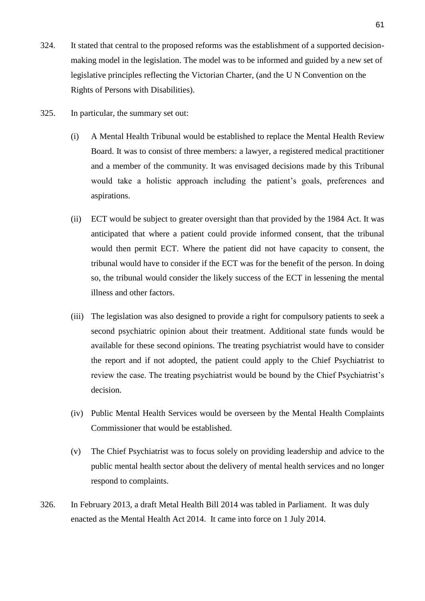- 324. It stated that central to the proposed reforms was the establishment of a supported decisionmaking model in the legislation. The model was to be informed and guided by a new set of legislative principles reflecting the Victorian Charter, (and the U N Convention on the Rights of Persons with Disabilities).
- 325. In particular, the summary set out:
	- (i) A Mental Health Tribunal would be established to replace the Mental Health Review Board. It was to consist of three members: a lawyer, a registered medical practitioner and a member of the community. It was envisaged decisions made by this Tribunal would take a holistic approach including the patient's goals, preferences and aspirations.
	- (ii) ECT would be subject to greater oversight than that provided by the 1984 Act. It was anticipated that where a patient could provide informed consent, that the tribunal would then permit ECT. Where the patient did not have capacity to consent, the tribunal would have to consider if the ECT was for the benefit of the person. In doing so, the tribunal would consider the likely success of the ECT in lessening the mental illness and other factors.
	- (iii) The legislation was also designed to provide a right for compulsory patients to seek a second psychiatric opinion about their treatment. Additional state funds would be available for these second opinions. The treating psychiatrist would have to consider the report and if not adopted, the patient could apply to the Chief Psychiatrist to review the case. The treating psychiatrist would be bound by the Chief Psychiatrist's decision.
	- (iv) Public Mental Health Services would be overseen by the Mental Health Complaints Commissioner that would be established.
	- (v) The Chief Psychiatrist was to focus solely on providing leadership and advice to the public mental health sector about the delivery of mental health services and no longer respond to complaints.
- 326. In February 2013, a draft Metal Health Bill 2014 was tabled in Parliament. It was duly enacted as the Mental Health Act 2014. It came into force on 1 July 2014.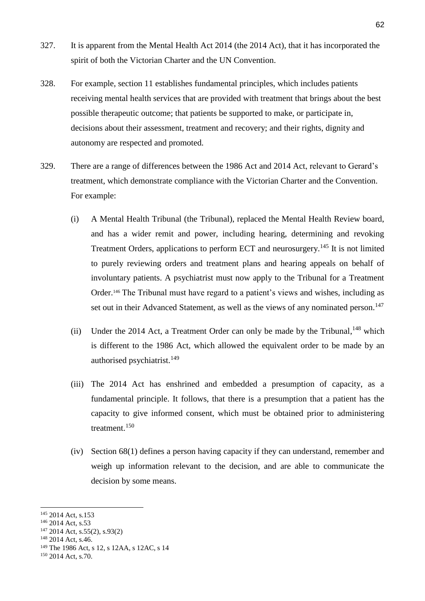- 327. It is apparent from the Mental Health Act 2014 (the 2014 Act), that it has incorporated the spirit of both the Victorian Charter and the UN Convention.
- 328. For example, section 11 establishes fundamental principles, which includes patients receiving mental health services that are provided with treatment that brings about the best possible therapeutic outcome; that patients be supported to make, or participate in, decisions about their assessment, treatment and recovery; and their rights, dignity and autonomy are respected and promoted.
- 329. There are a range of differences between the 1986 Act and 2014 Act, relevant to Gerard's treatment, which demonstrate compliance with the Victorian Charter and the Convention. For example:
	- (i) A Mental Health Tribunal (the Tribunal), replaced the Mental Health Review board, and has a wider remit and power, including hearing, determining and revoking Treatment Orders, applications to perform ECT and neurosurgery.<sup>145</sup> It is not limited to purely reviewing orders and treatment plans and hearing appeals on behalf of involuntary patients. A psychiatrist must now apply to the Tribunal for a Treatment Order.<sup>146</sup> The Tribunal must have regard to a patient's views and wishes, including as set out in their Advanced Statement, as well as the views of any nominated person.<sup>147</sup>
	- (ii) Under the 2014 Act, a Treatment Order can only be made by the Tribunal,  $^{148}$  which is different to the 1986 Act, which allowed the equivalent order to be made by an authorised psychiatrist. 149
	- (iii) The 2014 Act has enshrined and embedded a presumption of capacity, as a fundamental principle. It follows, that there is a presumption that a patient has the capacity to give informed consent, which must be obtained prior to administering treatment.<sup>150</sup>
	- (iv) Section 68(1) defines a person having capacity if they can understand, remember and weigh up information relevant to the decision, and are able to communicate the decision by some means.

<sup>145</sup> 2014 Act, s.153

<sup>146</sup> 2014 Act, s.53

<sup>147</sup> 2014 Act, s.55(2), s.93(2)

<sup>&</sup>lt;sup>148</sup> 2014 Act, s.46.

<sup>149</sup> The 1986 Act, s 12, s 12AA, s 12AC, s 14

<sup>&</sup>lt;sup>150</sup> 2014 Act, s.70.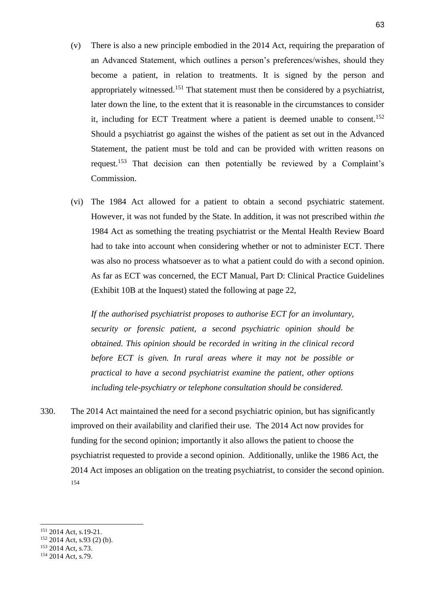- (v) There is also a new principle embodied in the 2014 Act, requiring the preparation of an Advanced Statement, which outlines a person's preferences/wishes, should they become a patient, in relation to treatments. It is signed by the person and appropriately witnessed.<sup>151</sup> That statement must then be considered by a psychiatrist, later down the line, to the extent that it is reasonable in the circumstances to consider it, including for ECT Treatment where a patient is deemed unable to consent.<sup>152</sup> Should a psychiatrist go against the wishes of the patient as set out in the Advanced Statement, the patient must be told and can be provided with written reasons on request.<sup>153</sup> That decision can then potentially be reviewed by a Complaint's Commission.
- (vi) The 1984 Act allowed for a patient to obtain a second psychiatric statement. However, it was not funded by the State. In addition, it was not prescribed within *the*  1984 Act as something the treating psychiatrist or the Mental Health Review Board had to take into account when considering whether or not to administer ECT. There was also no process whatsoever as to what a patient could do with a second opinion. As far as ECT was concerned, the ECT Manual, Part D: Clinical Practice Guidelines (Exhibit 10B at the Inquest) stated the following at page 22,

*If the authorised psychiatrist proposes to authorise ECT for an involuntary, security or forensic patient, a second psychiatric opinion should be obtained. This opinion should be recorded in writing in the clinical record before ECT is given. In rural areas where it may not be possible or practical to have a second psychiatrist examine the patient, other options including tele-psychiatry or telephone consultation should be considered.*

330. The 2014 Act maintained the need for a second psychiatric opinion, but has significantly improved on their availability and clarified their use. The 2014 Act now provides for funding for the second opinion; importantly it also allows the patient to choose the psychiatrist requested to provide a second opinion. Additionally, unlike the 1986 Act, the 2014 Act imposes an obligation on the treating psychiatrist, to consider the second opinion. 154

<sup>151</sup> 2014 Act, s.19-21.

 $152$  2014 Act, s.93 (2) (b).

<sup>&</sup>lt;sup>153</sup> 2014 Act, s.73.

<sup>&</sup>lt;sup>154</sup> 2014 Act, s.79.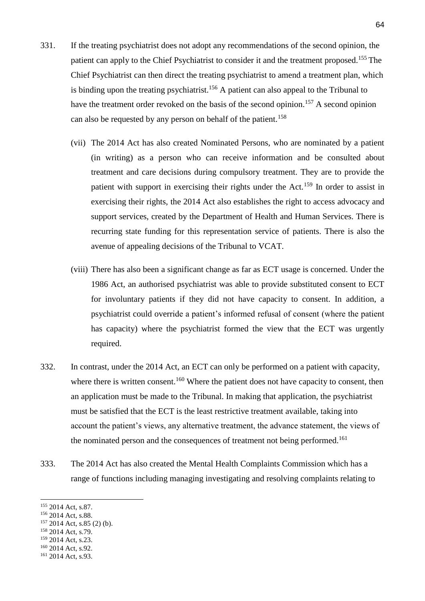- 331. If the treating psychiatrist does not adopt any recommendations of the second opinion, the patient can apply to the Chief Psychiatrist to consider it and the treatment proposed.<sup>155</sup> The Chief Psychiatrist can then direct the treating psychiatrist to amend a treatment plan, which is binding upon the treating psychiatrist.<sup>156</sup> A patient can also appeal to the Tribunal to have the treatment order revoked on the basis of the second opinion.<sup>157</sup> A second opinion can also be requested by any person on behalf of the patient.<sup>158</sup>
	- (vii) The 2014 Act has also created Nominated Persons, who are nominated by a patient (in writing) as a person who can receive information and be consulted about treatment and care decisions during compulsory treatment. They are to provide the patient with support in exercising their rights under the Act.<sup>159</sup> In order to assist in exercising their rights, the 2014 Act also establishes the right to access advocacy and support services, created by the Department of Health and Human Services. There is recurring state funding for this representation service of patients. There is also the avenue of appealing decisions of the Tribunal to VCAT.
	- (viii) There has also been a significant change as far as ECT usage is concerned. Under the 1986 Act, an authorised psychiatrist was able to provide substituted consent to ECT for involuntary patients if they did not have capacity to consent. In addition, a psychiatrist could override a patient's informed refusal of consent (where the patient has capacity) where the psychiatrist formed the view that the ECT was urgently required.
- 332. In contrast, under the 2014 Act, an ECT can only be performed on a patient with capacity, where there is written consent.<sup>160</sup> Where the patient does not have capacity to consent, then an application must be made to the Tribunal. In making that application, the psychiatrist must be satisfied that the ECT is the least restrictive treatment available, taking into account the patient's views, any alternative treatment, the advance statement, the views of the nominated person and the consequences of treatment not being performed.<sup>161</sup>
- 333. The 2014 Act has also created the Mental Health Complaints Commission which has a range of functions including managing investigating and resolving complaints relating to

-

<sup>160</sup> 2014 Act, s.92. <sup>161</sup> 2014 Act, s.93.

<sup>155</sup> 2014 Act, s.87.

<sup>&</sup>lt;sup>156</sup> 2014 Act, s.88.

<sup>157 2014</sup> Act, s.85 (2) (b).

<sup>&</sup>lt;sup>158</sup> 2014 Act, s.79.

<sup>&</sup>lt;sup>159</sup> 2014 Act, s.23.

<sup>64</sup>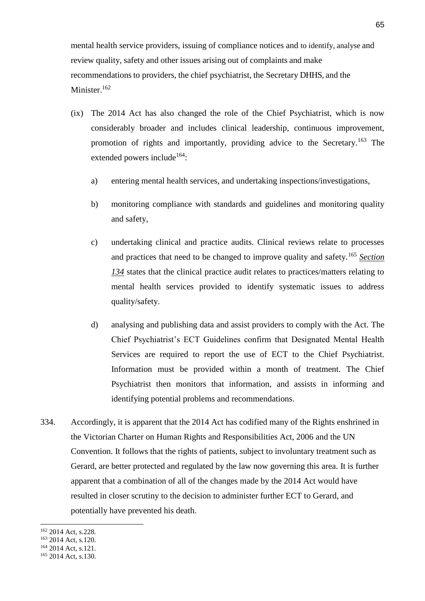mental health service providers, issuing of compliance notices and to identify, analyse and review quality, safety and other issues arising out of complaints and make recommendations to providers, the chief psychiatrist, the Secretary DHHS, and the Minister.<sup>162</sup>

- (ix) The 2014 Act has also changed the role of the Chief Psychiatrist, which is now considerably broader and includes clinical leadership, continuous improvement, promotion of rights and importantly, providing advice to the Secretary.<sup>163</sup> The extended powers include<sup>164</sup>:
	- a) entering mental health services, and undertaking inspections/investigations,
	- b) monitoring compliance with standards and guidelines and monitoring quality and safety,
	- c) undertaking clinical and practice audits. Clinical reviews relate to processes and practices that need to be changed to improve quality and safety.<sup>165</sup> *Section 134* states that the clinical practice audit relates to practices/matters relating to mental health services provided to identify systematic issues to address quality/safety.
	- d) analysing and publishing data and assist providers to comply with the Act. The Chief Psychiatrist's ECT Guidelines confirm that Designated Mental Health Services are required to report the use of ECT to the Chief Psychiatrist. Information must be provided within a month of treatment. The Chief Psychiatrist then monitors that information, and assists in informing and identifying potential problems and recommendations.
- 334. Accordingly, it is apparent that the 2014 Act has codified many of the Rights enshrined in the Victorian Charter on Human Rights and Responsibilities Act, 2006 and the UN Convention. It follows that the rights of patients, subject to involuntary treatment such as Gerard, are better protected and regulated by the law now governing this area. It is further apparent that a combination of all of the changes made by the 2014 Act would have resulted in closer scrutiny to the decision to administer further ECT to Gerard, and potentially have prevented his death.

-

<sup>164</sup> 2014 Act, s.121.

<sup>162</sup> 2014 Act, s.228.

<sup>163</sup> 2014 Act, s.120.

<sup>165</sup> 2014 Act, s.130.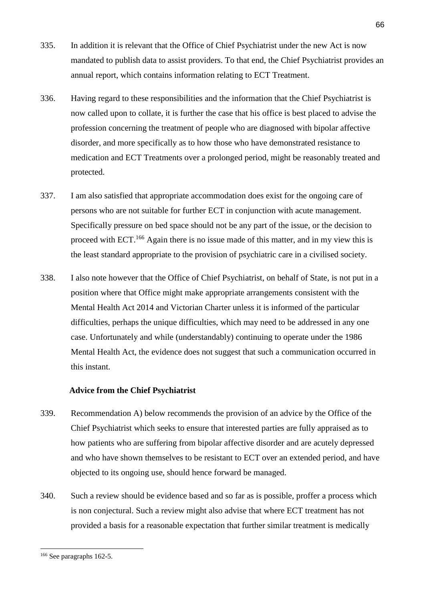- 335. In addition it is relevant that the Office of Chief Psychiatrist under the new Act is now mandated to publish data to assist providers. To that end, the Chief Psychiatrist provides an annual report, which contains information relating to ECT Treatment.
- 336. Having regard to these responsibilities and the information that the Chief Psychiatrist is now called upon to collate, it is further the case that his office is best placed to advise the profession concerning the treatment of people who are diagnosed with bipolar affective disorder, and more specifically as to how those who have demonstrated resistance to medication and ECT Treatments over a prolonged period, might be reasonably treated and protected.
- 337. I am also satisfied that appropriate accommodation does exist for the ongoing care of persons who are not suitable for further ECT in conjunction with acute management. Specifically pressure on bed space should not be any part of the issue, or the decision to proceed with ECT.<sup>166</sup> Again there is no issue made of this matter, and in my view this is the least standard appropriate to the provision of psychiatric care in a civilised society.
- 338. I also note however that the Office of Chief Psychiatrist, on behalf of State, is not put in a position where that Office might make appropriate arrangements consistent with the Mental Health Act 2014 and Victorian Charter unless it is informed of the particular difficulties, perhaps the unique difficulties, which may need to be addressed in any one case. Unfortunately and while (understandably) continuing to operate under the 1986 Mental Health Act, the evidence does not suggest that such a communication occurred in this instant.

## **Advice from the Chief Psychiatrist**

- 339. Recommendation A) below recommends the provision of an advice by the Office of the Chief Psychiatrist which seeks to ensure that interested parties are fully appraised as to how patients who are suffering from bipolar affective disorder and are acutely depressed and who have shown themselves to be resistant to ECT over an extended period, and have objected to its ongoing use, should hence forward be managed.
- 340. Such a review should be evidence based and so far as is possible, proffer a process which is non conjectural. Such a review might also advise that where ECT treatment has not provided a basis for a reasonable expectation that further similar treatment is medically

<sup>66</sup>

<sup>166</sup> See paragraphs 162-5.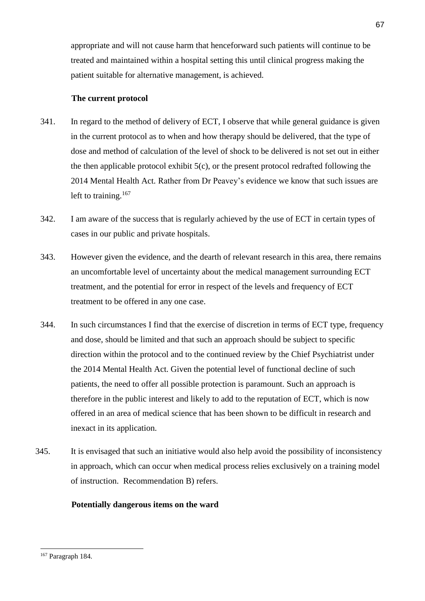appropriate and will not cause harm that henceforward such patients will continue to be treated and maintained within a hospital setting this until clinical progress making the patient suitable for alternative management, is achieved.

## **The current protocol**

- 341. In regard to the method of delivery of ECT, I observe that while general guidance is given in the current protocol as to when and how therapy should be delivered, that the type of dose and method of calculation of the level of shock to be delivered is not set out in either the then applicable protocol exhibit  $5(c)$ , or the present protocol redrafted following the 2014 Mental Health Act. Rather from Dr Peavey's evidence we know that such issues are left to training.<sup>167</sup>
- 342. I am aware of the success that is regularly achieved by the use of ECT in certain types of cases in our public and private hospitals.
- 343. However given the evidence, and the dearth of relevant research in this area, there remains an uncomfortable level of uncertainty about the medical management surrounding ECT treatment, and the potential for error in respect of the levels and frequency of ECT treatment to be offered in any one case.
- 344. In such circumstances I find that the exercise of discretion in terms of ECT type, frequency and dose, should be limited and that such an approach should be subject to specific direction within the protocol and to the continued review by the Chief Psychiatrist under the 2014 Mental Health Act. Given the potential level of functional decline of such patients, the need to offer all possible protection is paramount. Such an approach is therefore in the public interest and likely to add to the reputation of ECT, which is now offered in an area of medical science that has been shown to be difficult in research and inexact in its application.
- 345. It is envisaged that such an initiative would also help avoid the possibility of inconsistency in approach, which can occur when medical process relies exclusively on a training model of instruction. Recommendation B) refers.

## **Potentially dangerous items on the ward**

<sup>167</sup> Paragraph 184.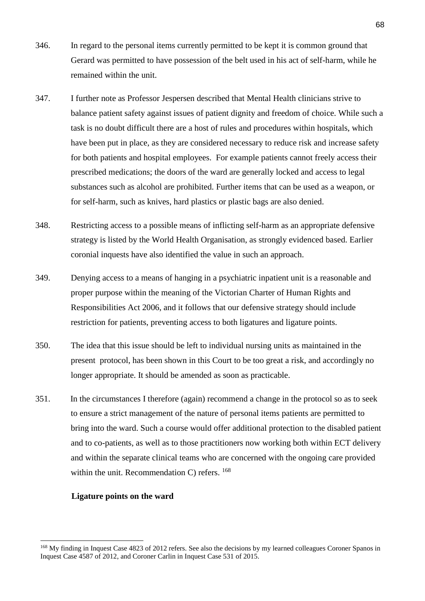- 346. In regard to the personal items currently permitted to be kept it is common ground that Gerard was permitted to have possession of the belt used in his act of self-harm, while he remained within the unit.
- 347. I further note as Professor Jespersen described that Mental Health clinicians strive to balance patient safety against issues of patient dignity and freedom of choice. While such a task is no doubt difficult there are a host of rules and procedures within hospitals, which have been put in place, as they are considered necessary to reduce risk and increase safety for both patients and hospital employees. For example patients cannot freely access their prescribed medications; the doors of the ward are generally locked and access to legal substances such as alcohol are prohibited. Further items that can be used as a weapon, or for self-harm, such as knives, hard plastics or plastic bags are also denied.
- 348. Restricting access to a possible means of inflicting self-harm as an appropriate defensive strategy is listed by the World Health Organisation, as strongly evidenced based. Earlier coronial inquests have also identified the value in such an approach.
- 349. Denying access to a means of hanging in a psychiatric inpatient unit is a reasonable and proper purpose within the meaning of the Victorian Charter of Human Rights and Responsibilities Act 2006, and it follows that our defensive strategy should include restriction for patients, preventing access to both ligatures and ligature points.
- 350. The idea that this issue should be left to individual nursing units as maintained in the present protocol, has been shown in this Court to be too great a risk, and accordingly no longer appropriate. It should be amended as soon as practicable.
- 351. In the circumstances I therefore (again) recommend a change in the protocol so as to seek to ensure a strict management of the nature of personal items patients are permitted to bring into the ward. Such a course would offer additional protection to the disabled patient and to co-patients, as well as to those practitioners now working both within ECT delivery and within the separate clinical teams who are concerned with the ongoing care provided within the unit. Recommendation C) refers.  $^{168}$

#### **Ligature points on the ward**

<sup>&</sup>lt;sup>168</sup> My finding in Inquest Case 4823 of 2012 refers. See also the decisions by my learned colleagues Coroner Spanos in Inquest Case 4587 of 2012, and Coroner Carlin in Inquest Case 531 of 2015.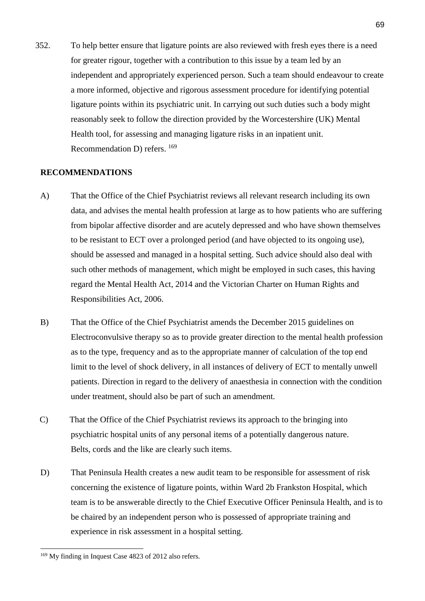352. To help better ensure that ligature points are also reviewed with fresh eyes there is a need for greater rigour, together with a contribution to this issue by a team led by an independent and appropriately experienced person. Such a team should endeavour to create a more informed, objective and rigorous assessment procedure for identifying potential ligature points within its psychiatric unit. In carrying out such duties such a body might reasonably seek to follow the direction provided by the Worcestershire (UK) Mental Health tool, for assessing and managing ligature risks in an inpatient unit. Recommendation D) refers. <sup>169</sup>

#### **RECOMMENDATIONS**

- A) That the Office of the Chief Psychiatrist reviews all relevant research including its own data, and advises the mental health profession at large as to how patients who are suffering from bipolar affective disorder and are acutely depressed and who have shown themselves to be resistant to ECT over a prolonged period (and have objected to its ongoing use), should be assessed and managed in a hospital setting. Such advice should also deal with such other methods of management, which might be employed in such cases, this having regard the Mental Health Act, 2014 and the Victorian Charter on Human Rights and Responsibilities Act, 2006.
- B) That the Office of the Chief Psychiatrist amends the December 2015 guidelines on Electroconvulsive therapy so as to provide greater direction to the mental health profession as to the type, frequency and as to the appropriate manner of calculation of the top end limit to the level of shock delivery, in all instances of delivery of ECT to mentally unwell patients. Direction in regard to the delivery of anaesthesia in connection with the condition under treatment, should also be part of such an amendment.
- C) That the Office of the Chief Psychiatrist reviews its approach to the bringing into psychiatric hospital units of any personal items of a potentially dangerous nature. Belts, cords and the like are clearly such items.
- D) That Peninsula Health creates a new audit team to be responsible for assessment of risk concerning the existence of ligature points, within Ward 2b Frankston Hospital, which team is to be answerable directly to the Chief Executive Officer Peninsula Health, and is to be chaired by an independent person who is possessed of appropriate training and experience in risk assessment in a hospital setting.

<sup>169</sup> My finding in Inquest Case 4823 of 2012 also refers.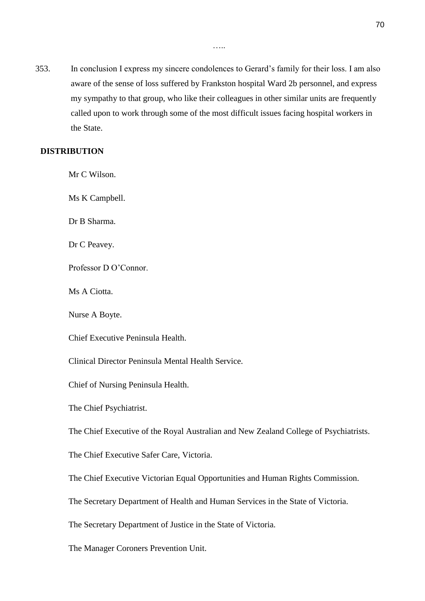353. In conclusion I express my sincere condolences to Gerard's family for their loss. I am also aware of the sense of loss suffered by Frankston hospital Ward 2b personnel, and express my sympathy to that group, who like their colleagues in other similar units are frequently called upon to work through some of the most difficult issues facing hospital workers in the State.

#### **DISTRIBUTION**

Mr C Wilson. Ms K Campbell.

Dr B Sharma.

Dr C Peavey.

Professor D O'Connor.

Ms A Ciotta.

Nurse A Boyte.

Chief Executive Peninsula Health.

…..

Clinical Director Peninsula Mental Health Service.

Chief of Nursing Peninsula Health.

The Chief Psychiatrist.

The Chief Executive of the Royal Australian and New Zealand College of Psychiatrists.

The Chief Executive Safer Care, Victoria.

The Chief Executive Victorian Equal Opportunities and Human Rights Commission.

The Secretary Department of Health and Human Services in the State of Victoria.

The Secretary Department of Justice in the State of Victoria.

The Manager Coroners Prevention Unit.